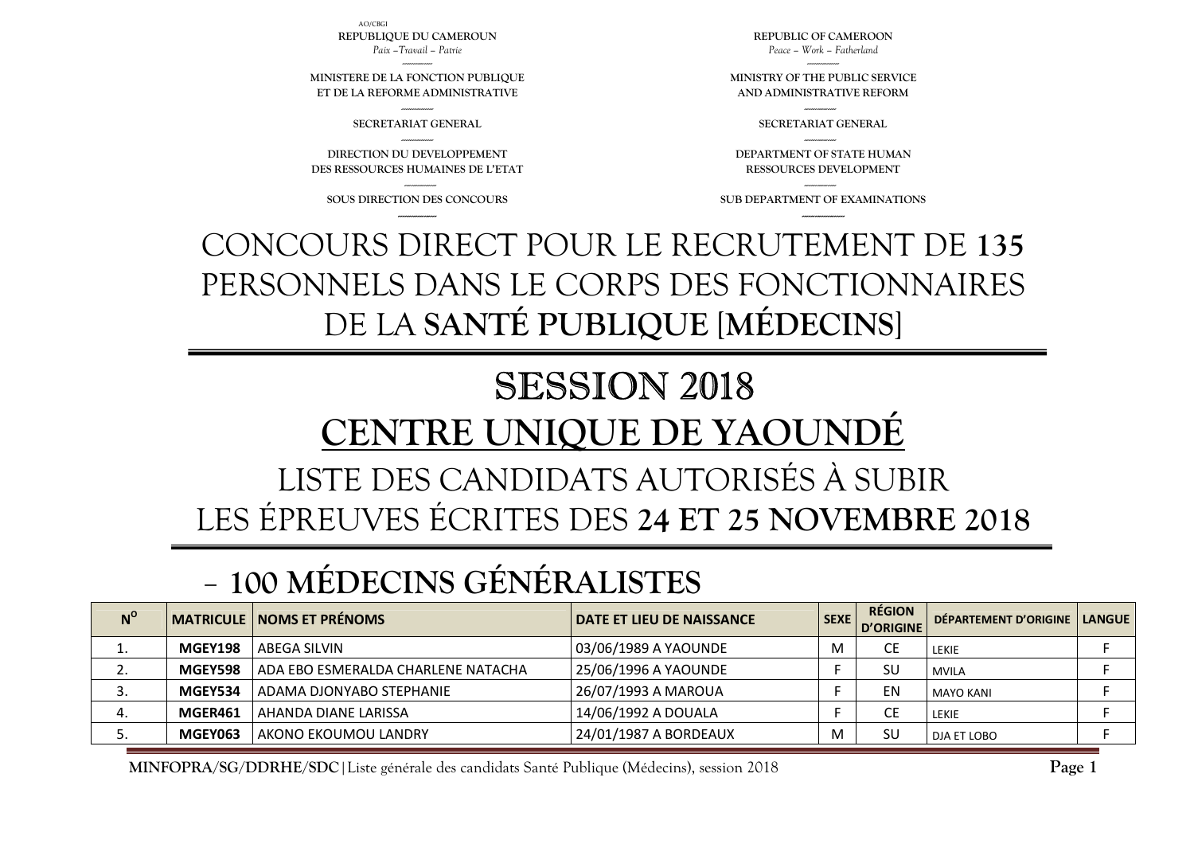**N<sup>O</sup>** MATRICULE NOMS ET PRÉNOMS **NOMS ET PRÉNOMS**  $\begin{bmatrix} 0 & 0 \end{bmatrix}$  $\begin{bmatrix} 0 & 0 \end{bmatrix}$  $\begin{bmatrix} 0 & 0 \end{bmatrix}$  $\begin{bmatrix} 0 & 0 \end{bmatrix}$  $\begin{bmatrix} 0 & 0 \end{bmatrix}$  $\begin{bmatrix} 0 & 0 \end{bmatrix}$  $\begin{bmatrix} 0 & 0 \end{bmatrix}$  $\begin{bmatrix} 0 & 0 \end{bmatrix}$  $\begin{bmatrix} 0 & 0 \end{bmatrix}$  $\begin{bmatrix} 0 & 0 \end{bmatrix}$  **\begin{b** 1. **MGEY198** ABEGA SILVIN 03/06/1989 A YAOUNDE M CE LEKIE <sup>F</sup> 2.**MGEY598** ADA EBO ESMERALDA CHARLENE NATACHA 25/06/1996 A YAOUNDE F SU MVILA F F SU MVILA 3. **MGEY534** ADAMA DJONYABO STEPHANIE 26/07/1993 A MAROUA F EN MAYO KANI <sup>F</sup> 4.**MGER461** AHANDA DIANE LARISSA **14/06/1992 A DOUALA** F F CE LEKIE F F F CE LEKIE F 5.**MGEY063** AKONO EKOUMOU LANDRY 24/01/1987 A BORDEAUX M M SU DJA ET LOBO <sup>F</sup>

#### -**100 MÉDECINS GÉNÉRALISTES**

# LISTE DES CANDIDATS AUTORISÉS À SUBIR LES ÉPREUVES ÉCRITES DES **24 ET 25 NOVEMBRE 2018**

# SESSION 2018 **CENTRE UNIQUE DE YAOUNDÉ**

# CONCOURS DIRECT POUR LE RECRUTEMENT DE **135** PERSONNELS DANS LE CORPS DES FONCTIONNAIRES DE LA **SANTÉ PUBLIQUE** [**MÉDECINS**]

--------------- **SOUS DIRECTION DES CONCOURS ------------------**

**DIRECTION DU DEVELOPPEMENT DES RESSOURCES HUMAINES DE L'ETAT** 

--------------- **SECRETARIAT GENERAL** ---------------

**MINISTERE DE LA FONCTION PUBLIQUE ET DE LA REFORME ADMINISTRATIVE**

AO/CBGI**REPUBLIQUE DU CAMEROUN** *Paix –Travail – Patrie* 

> --------------- **SUB DEPARTMENT OF EXAMINATIONS --------------------**

--------------- **DEPARTMENT OF STATE HUMAN RESSOURCES DEVELOPMENT** 

**MINISTRY OF THE PUBLIC SERVICE AND ADMINISTRATIVE REFORM** --------------- **SECRETARIAT GENERAL** 

**REPUBLIC OF CAMEROON** *Peace – Work – Fatherland* 

**Page 1**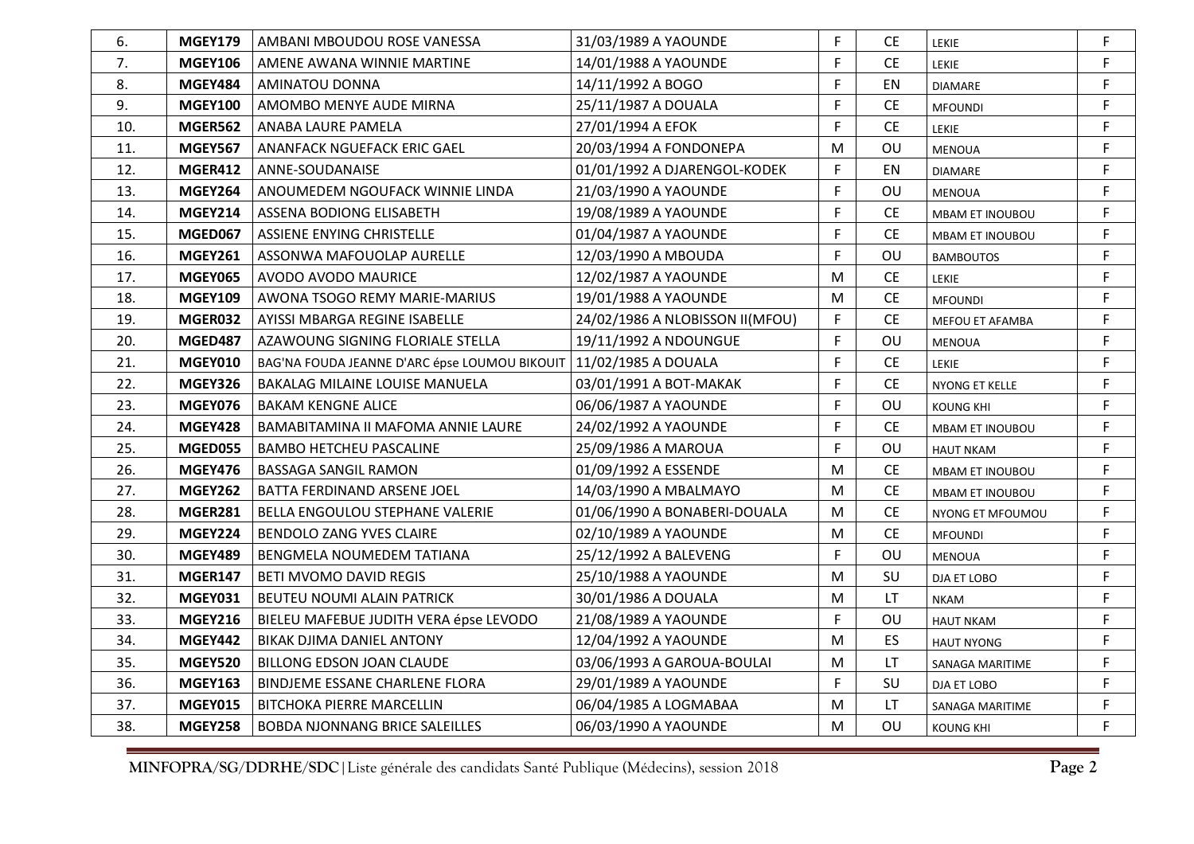| 6.  | <b>MGEY179</b> | AMBANI MBOUDOU ROSE VANESSA                                         | 31/03/1989 A YAOUNDE            | F | <b>CE</b> | LEKIE                  | F           |
|-----|----------------|---------------------------------------------------------------------|---------------------------------|---|-----------|------------------------|-------------|
| 7.  | <b>MGEY106</b> | AMENE AWANA WINNIE MARTINE                                          | 14/01/1988 A YAOUNDE            | F | <b>CE</b> | LEKIE                  | $\mathsf F$ |
| 8.  | <b>MGEY484</b> | AMINATOU DONNA                                                      | 14/11/1992 A BOGO               | F | EN        | <b>DIAMARE</b>         | F           |
| 9.  | <b>MGEY100</b> | AMOMBO MENYE AUDE MIRNA                                             | 25/11/1987 A DOUALA             | F | <b>CE</b> | <b>MFOUNDI</b>         | $\mathsf F$ |
| 10. | <b>MGER562</b> | ANABA LAURE PAMELA                                                  | 27/01/1994 A EFOK               | F | <b>CE</b> | <b>LEKIE</b>           | F           |
| 11. | <b>MGEY567</b> | ANANFACK NGUEFACK ERIC GAEL                                         | 20/03/1994 A FONDONEPA          | M | OU        | <b>MENOUA</b>          | F           |
| 12. | <b>MGER412</b> | ANNE-SOUDANAISE                                                     | 01/01/1992 A DJARENGOL-KODEK    | F | EN        | <b>DIAMARE</b>         | F           |
| 13. | <b>MGEY264</b> | ANOUMEDEM NGOUFACK WINNIE LINDA                                     | 21/03/1990 A YAOUNDE            | F | OU        | <b>MENOUA</b>          | F           |
| 14. | <b>MGEY214</b> | ASSENA BODIONG ELISABETH                                            | 19/08/1989 A YAOUNDE            | F | <b>CE</b> | MBAM ET INOUBOU        | F           |
| 15. | MGED067        | ASSIENE ENYING CHRISTELLE                                           | 01/04/1987 A YAOUNDE            | F | <b>CE</b> | MBAM ET INOUBOU        | F           |
| 16. | <b>MGEY261</b> | ASSONWA MAFOUOLAP AURELLE                                           | 12/03/1990 A MBOUDA             | F | OU        | <b>BAMBOUTOS</b>       | $\mathsf F$ |
| 17. | <b>MGEY065</b> | AVODO AVODO MAURICE                                                 | 12/02/1987 A YAOUNDE            | M | <b>CE</b> | <b>LEKIE</b>           | $\mathsf F$ |
| 18. | <b>MGEY109</b> | AWONA TSOGO REMY MARIE-MARIUS                                       | 19/01/1988 A YAOUNDE            | M | <b>CE</b> | <b>MFOUNDI</b>         | F           |
| 19. | MGER032        | AYISSI MBARGA REGINE ISABELLE                                       | 24/02/1986 A NLOBISSON II(MFOU) | F | <b>CE</b> | MEFOU ET AFAMBA        | F           |
| 20. | MGED487        | AZAWOUNG SIGNING FLORIALE STELLA                                    | 19/11/1992 A NDOUNGUE           | F | OU        | <b>MENOUA</b>          | F           |
| 21. | <b>MGEY010</b> | BAG'NA FOUDA JEANNE D'ARC épse LOUMOU BIKOUIT   11/02/1985 A DOUALA |                                 | F | <b>CE</b> | <b>LEKIE</b>           | F           |
| 22. | <b>MGEY326</b> | BAKALAG MILAINE LOUISE MANUELA                                      | 03/01/1991 A BOT-MAKAK          | F | <b>CE</b> | NYONG ET KELLE         | F           |
| 23. | <b>MGEY076</b> | <b>BAKAM KENGNE ALICE</b>                                           | 06/06/1987 A YAOUNDE            | F | OU        | <b>KOUNG KHI</b>       | F           |
| 24. | <b>MGEY428</b> | BAMABITAMINA II MAFOMA ANNIE LAURE                                  | 24/02/1992 A YAOUNDE            | F | <b>CE</b> | MBAM ET INOUBOU        | F           |
| 25. | MGED055        | <b>BAMBO HETCHEU PASCALINE</b>                                      | 25/09/1986 A MAROUA             | F | OU        | <b>HAUT NKAM</b>       | F           |
| 26. | <b>MGEY476</b> | <b>BASSAGA SANGIL RAMON</b>                                         | 01/09/1992 A ESSENDE            | M | <b>CE</b> | <b>MBAM ET INOUBOU</b> | F           |
| 27. | <b>MGEY262</b> | BATTA FERDINAND ARSENE JOEL                                         | 14/03/1990 A MBALMAYO           | M | <b>CE</b> | <b>MBAM ET INOUBOU</b> | F           |
| 28. | <b>MGER281</b> | BELLA ENGOULOU STEPHANE VALERIE                                     | 01/06/1990 A BONABERI-DOUALA    | M | <b>CE</b> | NYONG ET MFOUMOU       | F           |
| 29. | <b>MGEY224</b> | <b>BENDOLO ZANG YVES CLAIRE</b>                                     | 02/10/1989 A YAOUNDE            | M | <b>CE</b> | <b>MFOUNDI</b>         | F           |
| 30. | MGEY489        | BENGMELA NOUMEDEM TATIANA                                           | 25/12/1992 A BALEVENG           | F | OU        | <b>MENOUA</b>          | F           |
| 31. | MGER147        | BETI MVOMO DAVID REGIS                                              | 25/10/1988 A YAOUNDE            | M | SU        | DJA ET LOBO            | F           |
| 32. | <b>MGEY031</b> | BEUTEU NOUMI ALAIN PATRICK                                          | 30/01/1986 A DOUALA             | M | LT.       | <b>NKAM</b>            | F           |
| 33. | <b>MGEY216</b> | BIELEU MAFEBUE JUDITH VERA épse LEVODO                              | 21/08/1989 A YAOUNDE            | F | OU        | <b>HAUT NKAM</b>       | $\mathsf F$ |
| 34. | <b>MGEY442</b> | BIKAK DJIMA DANIEL ANTONY                                           | 12/04/1992 A YAOUNDE            | M | <b>ES</b> | <b>HAUT NYONG</b>      | $\mathsf F$ |
| 35. | <b>MGEY520</b> | <b>BILLONG EDSON JOAN CLAUDE</b>                                    | 03/06/1993 A GAROUA-BOULAI      | M | LT.       | SANAGA MARITIME        | $\mathsf F$ |
| 36. | <b>MGEY163</b> | BINDJEME ESSANE CHARLENE FLORA                                      | 29/01/1989 A YAOUNDE            | F | SU        | DJA ET LOBO            | F.          |
| 37. | <b>MGEY015</b> | <b>BITCHOKA PIERRE MARCELLIN</b>                                    | 06/04/1985 A LOGMABAA           | M | LT.       | SANAGA MARITIME        | F           |
| 38. | <b>MGEY258</b> | <b>BOBDA NJONNANG BRICE SALEILLES</b>                               | 06/03/1990 A YAOUNDE            | M | OU        | <b>KOUNG KHI</b>       | F           |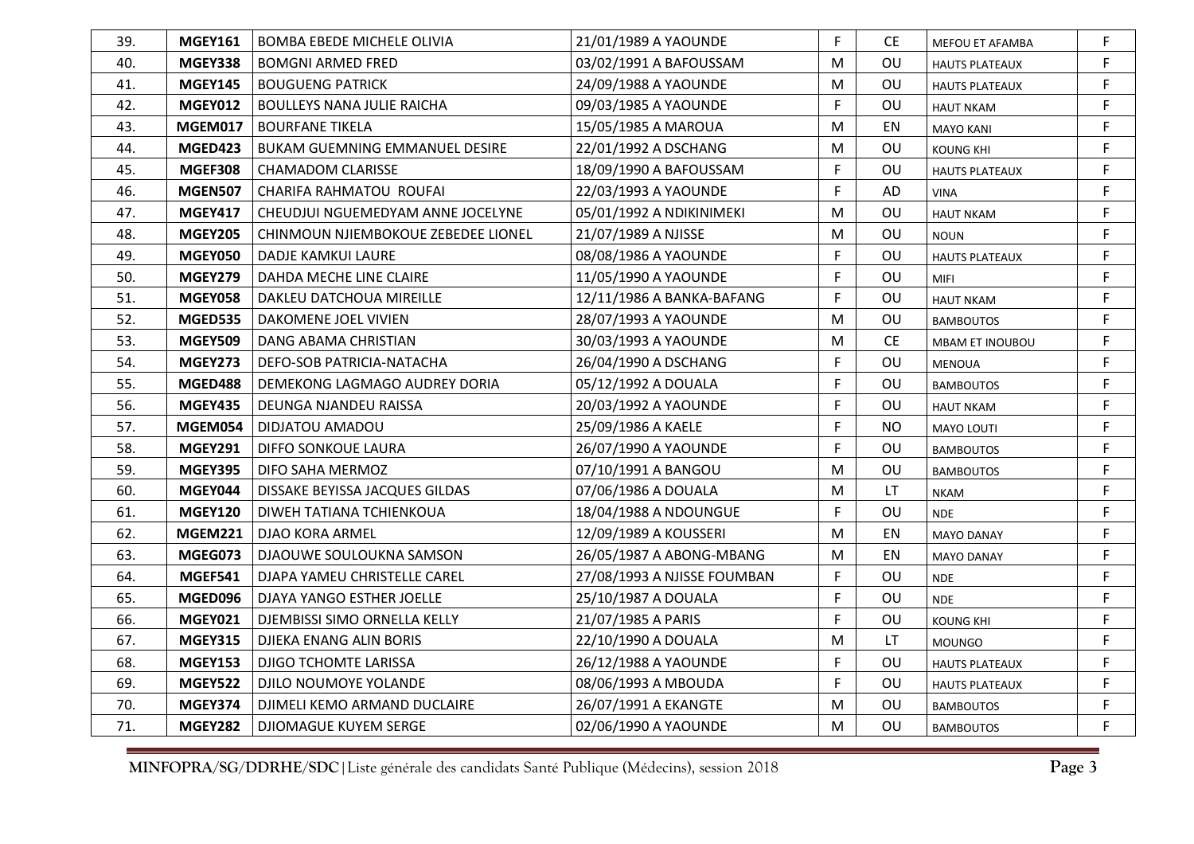| 39. | <b>MGEY161</b> | <b>BOMBA EBEDE MICHELE OLIVIA</b>     | 21/01/1989 A YAOUNDE        | F | CE.       | MEFOU ET AFAMBA       | F |
|-----|----------------|---------------------------------------|-----------------------------|---|-----------|-----------------------|---|
| 40. | <b>MGEY338</b> | <b>BOMGNI ARMED FRED</b>              | 03/02/1991 A BAFOUSSAM      | M | OU        | <b>HAUTS PLATEAUX</b> | F |
| 41. | <b>MGEY145</b> | <b>BOUGUENG PATRICK</b>               | 24/09/1988 A YAOUNDE        | M | <b>OU</b> | <b>HAUTS PLATEAUX</b> | F |
| 42. | <b>MGEY012</b> | <b>BOULLEYS NANA JULIE RAICHA</b>     | 09/03/1985 A YAOUNDE        | F | <b>OU</b> | <b>HAUT NKAM</b>      | F |
| 43. | <b>MGEM017</b> | <b>BOURFANE TIKELA</b>                | 15/05/1985 A MAROUA         | M | EN        | <b>MAYO KANI</b>      | F |
| 44. | MGED423        | <b>BUKAM GUEMNING EMMANUEL DESIRE</b> | 22/01/1992 A DSCHANG        | M | OU        | <b>KOUNG KHI</b>      | F |
| 45. | <b>MGEF308</b> | <b>CHAMADOM CLARISSE</b>              | 18/09/1990 A BAFOUSSAM      | F | OU        | <b>HAUTS PLATEAUX</b> | F |
| 46. | <b>MGEN507</b> | CHARIFA RAHMATOU ROUFAI               | 22/03/1993 A YAOUNDE        | F | AD        | <b>VINA</b>           | F |
| 47. | <b>MGEY417</b> | CHEUDJUI NGUEMEDYAM ANNE JOCELYNE     | 05/01/1992 A NDIKINIMEKI    | M | OU        | <b>HAUT NKAM</b>      | F |
| 48. | <b>MGEY205</b> | CHINMOUN NJIEMBOKOUE ZEBEDEE LIONEL   | 21/07/1989 A NJISSE         | M | OU        | <b>NOUN</b>           | F |
| 49. | <b>MGEY050</b> | DADJE KAMKUI LAURE                    | 08/08/1986 A YAOUNDE        | F | OU        | <b>HAUTS PLATEAUX</b> | F |
| 50. | <b>MGEY279</b> | DAHDA MECHE LINE CLAIRE               | 11/05/1990 A YAOUNDE        | F | OU        | <b>MIFI</b>           | F |
| 51. | <b>MGEY058</b> | DAKLEU DATCHOUA MIREILLE              | 12/11/1986 A BANKA-BAFANG   | F | OU        | <b>HAUT NKAM</b>      | F |
| 52. | <b>MGED535</b> | DAKOMENE JOEL VIVIEN                  | 28/07/1993 A YAOUNDE        | M | OU        | <b>BAMBOUTOS</b>      | F |
| 53. | <b>MGEY509</b> | DANG ABAMA CHRISTIAN                  | 30/03/1993 A YAOUNDE        | M | <b>CE</b> | MBAM ET INOUBOU       | F |
| 54. | <b>MGEY273</b> | DEFO-SOB PATRICIA-NATACHA             | 26/04/1990 A DSCHANG        | F | OU        | <b>MENOUA</b>         | F |
| 55. | MGED488        | DEMEKONG LAGMAGO AUDREY DORIA         | 05/12/1992 A DOUALA         | F | OU        | <b>BAMBOUTOS</b>      | F |
| 56. | <b>MGEY435</b> | DEUNGA NJANDEU RAISSA                 | 20/03/1992 A YAOUNDE        | F | OU        | <b>HAUT NKAM</b>      | F |
| 57. | MGEM054        | DIDJATOU AMADOU                       | 25/09/1986 A KAELE          | F | <b>NO</b> | MAYO LOUTI            | F |
| 58. | <b>MGEY291</b> | DIFFO SONKOUE LAURA                   | 26/07/1990 A YAOUNDE        | F | OU        | <b>BAMBOUTOS</b>      | F |
| 59. | <b>MGEY395</b> | DIFO SAHA MERMOZ                      | 07/10/1991 A BANGOU         | M | OU        | <b>BAMBOUTOS</b>      | F |
| 60. | MGEY044        | DISSAKE BEYISSA JACQUES GILDAS        | 07/06/1986 A DOUALA         | M | <b>LT</b> | <b>NKAM</b>           | F |
| 61. | <b>MGEY120</b> | DIWEH TATIANA TCHIENKOUA              | 18/04/1988 A NDOUNGUE       | F | OU        | <b>NDE</b>            | F |
| 62. | <b>MGEM221</b> | <b>DJAO KORA ARMEL</b>                | 12/09/1989 A KOUSSERI       | M | EN        | <b>MAYO DANAY</b>     | F |
| 63. | MGEG073        | DJAOUWE SOULOUKNA SAMSON              | 26/05/1987 A ABONG-MBANG    | M | EN.       | <b>MAYO DANAY</b>     | F |
| 64. | <b>MGEF541</b> | DJAPA YAMEU CHRISTELLE CAREL          | 27/08/1993 A NJISSE FOUMBAN | F | OU        | <b>NDE</b>            | F |
| 65. | MGED096        | DJAYA YANGO ESTHER JOELLE             | 25/10/1987 A DOUALA         | F | OU        | <b>NDE</b>            | F |
| 66. | <b>MGEY021</b> | DJEMBISSI SIMO ORNELLA KELLY          | 21/07/1985 A PARIS          | F | OU        | <b>KOUNG KHI</b>      | F |
| 67. | <b>MGEY315</b> | DJIEKA ENANG ALIN BORIS               | 22/10/1990 A DOUALA         | M | LT.       | <b>MOUNGO</b>         | F |
| 68. | <b>MGEY153</b> | <b>DJIGO TCHOMTE LARISSA</b>          | 26/12/1988 A YAOUNDE        | F | OU        | <b>HAUTS PLATEAUX</b> | F |
| 69. | <b>MGEY522</b> | DJILO NOUMOYE YOLANDE                 | 08/06/1993 A MBOUDA         | F | OU        | <b>HAUTS PLATEAUX</b> | F |
| 70. | <b>MGEY374</b> | DJIMELI KEMO ARMAND DUCLAIRE          | 26/07/1991 A EKANGTE        | M | OU        | <b>BAMBOUTOS</b>      | F |
| 71. | <b>MGEY282</b> | DJIOMAGUE KUYEM SERGE                 | 02/06/1990 A YAOUNDE        | M | OU        | <b>BAMBOUTOS</b>      | F |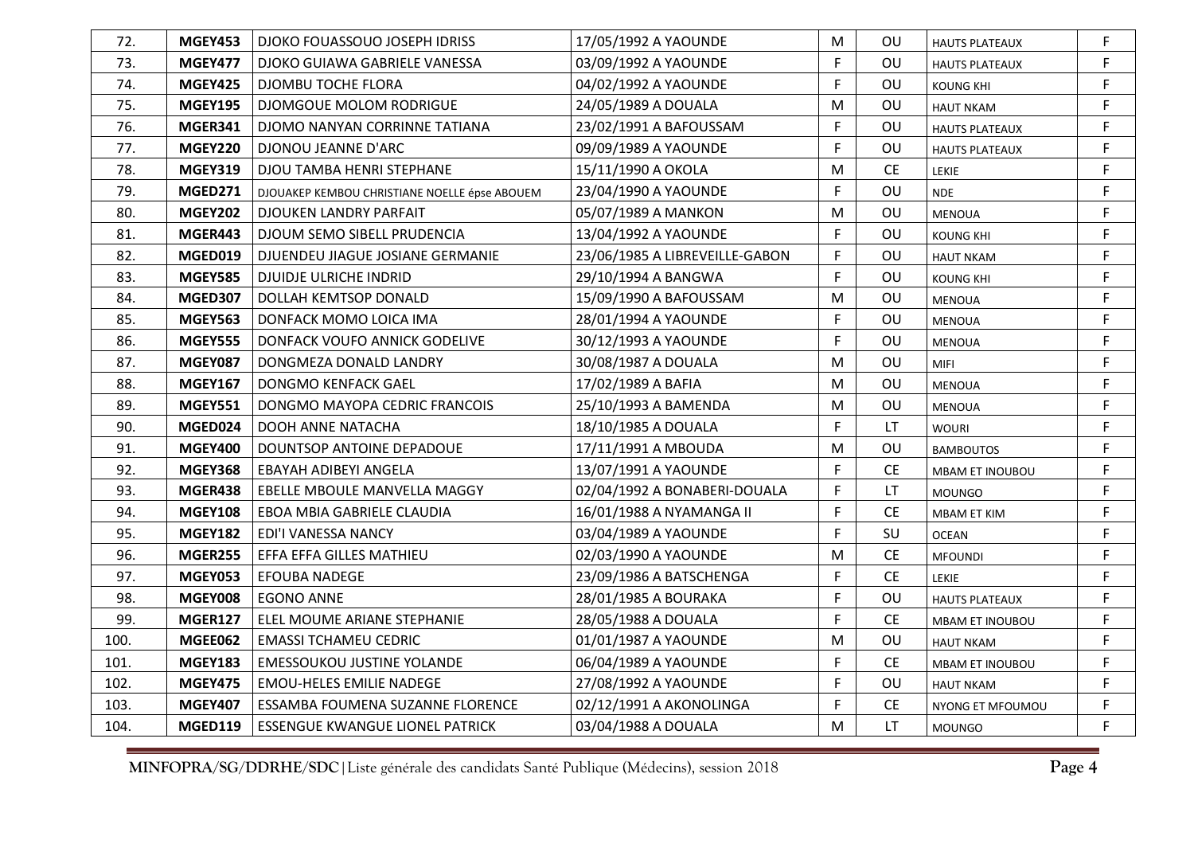| 72.  | <b>MGEY453</b> | DJOKO FOUASSOUO JOSEPH IDRISS                 | 17/05/1992 A YAOUNDE           | ${\sf M}$   | OU        | <b>HAUTS PLATEAUX</b>  | F           |
|------|----------------|-----------------------------------------------|--------------------------------|-------------|-----------|------------------------|-------------|
| 73.  | <b>MGEY477</b> | DJOKO GUIAWA GABRIELE VANESSA                 | 03/09/1992 A YAOUNDE           | F           | OU        | <b>HAUTS PLATEAUX</b>  | F           |
| 74.  | <b>MGEY425</b> | DJOMBU TOCHE FLORA                            | 04/02/1992 A YAOUNDE           | F           | OU        | KOUNG KHI              | F.          |
| 75.  | <b>MGEY195</b> | DJOMGOUE MOLOM RODRIGUE                       | 24/05/1989 A DOUALA            | M           | OU        | <b>HAUT NKAM</b>       | F           |
| 76.  | <b>MGER341</b> | DJOMO NANYAN CORRINNE TATIANA                 | 23/02/1991 A BAFOUSSAM         | F           | OU        | <b>HAUTS PLATEAUX</b>  | $\mathsf F$ |
| 77.  | <b>MGEY220</b> | DJONOU JEANNE D'ARC                           | 09/09/1989 A YAOUNDE           | F           | OU        | <b>HAUTS PLATEAUX</b>  | F           |
| 78.  | <b>MGEY319</b> | DJOU TAMBA HENRI STEPHANE                     | 15/11/1990 A OKOLA             | M           | <b>CE</b> | <b>LEKIE</b>           | $\mathsf F$ |
| 79.  | MGED271        | DJOUAKEP KEMBOU CHRISTIANE NOELLE épse ABOUEM | 23/04/1990 A YAOUNDE           | F           | OU        | <b>NDE</b>             | F           |
| 80.  | <b>MGEY202</b> | DJOUKEN LANDRY PARFAIT                        | 05/07/1989 A MANKON            | M           | OU        | <b>MENOUA</b>          | F           |
| 81.  | MGER443        | DJOUM SEMO SIBELL PRUDENCIA                   | 13/04/1992 A YAOUNDE           | F           | OU        | <b>KOUNG KHI</b>       | $\mathsf F$ |
| 82.  | MGED019        | DJUENDEU JIAGUE JOSIANE GERMANIE              | 23/06/1985 A LIBREVEILLE-GABON | $\mathsf F$ | OU.       | <b>HAUT NKAM</b>       | F.          |
| 83.  | <b>MGEY585</b> | <b>DJUIDJE ULRICHE INDRID</b>                 | 29/10/1994 A BANGWA            | F           | OU        | <b>KOUNG KHI</b>       | F           |
| 84.  | <b>MGED307</b> | DOLLAH KEMTSOP DONALD                         | 15/09/1990 A BAFOUSSAM         | M           | OU        | <b>MENOUA</b>          | F           |
| 85.  | <b>MGEY563</b> | DONFACK MOMO LOICA IMA                        | 28/01/1994 A YAOUNDE           | F           | OU        | <b>MENOUA</b>          | F           |
| 86.  | <b>MGEY555</b> | DONFACK VOUFO ANNICK GODELIVE                 | 30/12/1993 A YAOUNDE           | F           | OU        | <b>MENOUA</b>          | F           |
| 87.  | <b>MGEY087</b> | DONGMEZA DONALD LANDRY                        | 30/08/1987 A DOUALA            | M           | OU        | <b>MIFI</b>            | $\mathsf F$ |
| 88.  | <b>MGEY167</b> | DONGMO KENFACK GAEL                           | 17/02/1989 A BAFIA             | M           | OU        | <b>MENOUA</b>          | F           |
| 89.  | <b>MGEY551</b> | DONGMO MAYOPA CEDRIC FRANCOIS                 | 25/10/1993 A BAMENDA           | M           | OU        | <b>MENOUA</b>          | F           |
| 90.  | MGED024        | DOOH ANNE NATACHA                             | 18/10/1985 A DOUALA            | F           | LT.       | <b>WOURI</b>           | F           |
| 91.  | <b>MGEY400</b> | DOUNTSOP ANTOINE DEPADOUE                     | 17/11/1991 A MBOUDA            | M           | OU        | <b>BAMBOUTOS</b>       | F           |
| 92.  | <b>MGEY368</b> | EBAYAH ADIBEYI ANGELA                         | 13/07/1991 A YAOUNDE           | F           | <b>CE</b> | <b>MBAM ET INOUBOU</b> | F           |
| 93.  | MGER438        | EBELLE MBOULE MANVELLA MAGGY                  | 02/04/1992 A BONABERI-DOUALA   | F           | LT.       | <b>MOUNGO</b>          | F           |
| 94.  | <b>MGEY108</b> | EBOA MBIA GABRIELE CLAUDIA                    | 16/01/1988 A NYAMANGA II       | F           | <b>CE</b> | <b>MBAM ET KIM</b>     | F           |
| 95.  | <b>MGEY182</b> | EDI'I VANESSA NANCY                           | 03/04/1989 A YAOUNDE           | F           | SU        | <b>OCEAN</b>           | $\mathsf F$ |
| 96.  | <b>MGER255</b> | EFFA EFFA GILLES MATHIEU                      | 02/03/1990 A YAOUNDE           | M           | <b>CE</b> | <b>MFOUNDI</b>         | $\mathsf F$ |
| 97.  | <b>MGEY053</b> | <b>EFOUBA NADEGE</b>                          | 23/09/1986 A BATSCHENGA        | F           | <b>CE</b> | <b>LEKIE</b>           | F           |
| 98.  | <b>MGEY008</b> | <b>EGONO ANNE</b>                             | 28/01/1985 A BOURAKA           | F           | OU        | <b>HAUTS PLATEAUX</b>  | F           |
| 99.  | <b>MGER127</b> | ELEL MOUME ARIANE STEPHANIE                   | 28/05/1988 A DOUALA            | F           | <b>CE</b> | <b>MBAM ET INOUBOU</b> | F           |
| 100. | MGEE062        | <b>EMASSI TCHAMEU CEDRIC</b>                  | 01/01/1987 A YAOUNDE           | M           | OU        | <b>HAUT NKAM</b>       | F           |
| 101. | <b>MGEY183</b> | <b>EMESSOUKOU JUSTINE YOLANDE</b>             | 06/04/1989 A YAOUNDE           | F           | <b>CE</b> | MBAM ET INOUBOU        | $\mathsf F$ |
| 102. | <b>MGEY475</b> | <b>EMOU-HELES EMILIE NADEGE</b>               | 27/08/1992 A YAOUNDE           | F           | OU        | <b>HAUT NKAM</b>       | F.          |
| 103. | <b>MGEY407</b> | ESSAMBA FOUMENA SUZANNE FLORENCE              | 02/12/1991 A AKONOLINGA        | F           | <b>CE</b> | NYONG ET MFOUMOU       | F           |
| 104. | <b>MGED119</b> | ESSENGUE KWANGUE LIONEL PATRICK               | 03/04/1988 A DOUALA            | M           | LT.       | <b>MOUNGO</b>          | F           |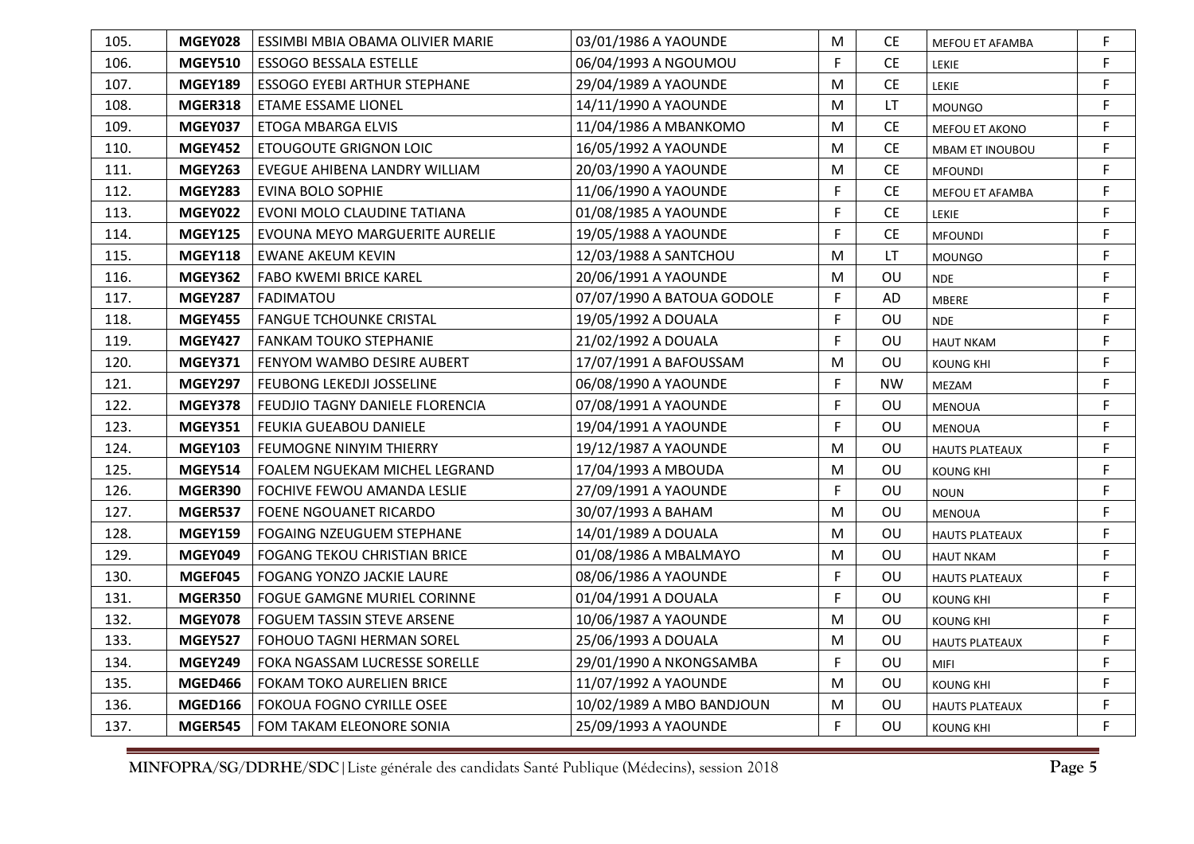| 105. | MGEY028        | ESSIMBI MBIA OBAMA OLIVIER MARIE    | 03/01/1986 A YAOUNDE       | M            | <b>CE</b> | MEFOU ET AFAMBA       | F |
|------|----------------|-------------------------------------|----------------------------|--------------|-----------|-----------------------|---|
| 106. | <b>MGEY510</b> | <b>ESSOGO BESSALA ESTELLE</b>       | 06/04/1993 A NGOUMOU       | F.           | <b>CE</b> | LEKIE                 | F |
| 107. | <b>MGEY189</b> | <b>ESSOGO EYEBI ARTHUR STEPHANE</b> | 29/04/1989 A YAOUNDE       | M            | <b>CE</b> | LEKIE                 | F |
| 108. | MGER318        | <b>ETAME ESSAME LIONEL</b>          | 14/11/1990 A YAOUNDE       | M            | <b>LT</b> | <b>MOUNGO</b>         | F |
| 109. | <b>MGEY037</b> | ETOGA MBARGA ELVIS                  | 11/04/1986 A MBANKOMO      | M            | <b>CE</b> | MEFOU ET AKONO        | F |
| 110. | <b>MGEY452</b> | <b>ETOUGOUTE GRIGNON LOIC</b>       | 16/05/1992 A YAOUNDE       | M            | <b>CE</b> | MBAM ET INOUBOU       | F |
| 111. | <b>MGEY263</b> | EVEGUE AHIBENA LANDRY WILLIAM       | 20/03/1990 A YAOUNDE       | M            | <b>CE</b> | <b>MFOUNDI</b>        | F |
| 112. | <b>MGEY283</b> | EVINA BOLO SOPHIE                   | 11/06/1990 A YAOUNDE       | F            | <b>CE</b> | MEFOU ET AFAMBA       | F |
| 113. | <b>MGEY022</b> | EVONI MOLO CLAUDINE TATIANA         | 01/08/1985 A YAOUNDE       | $\mathsf F$  | <b>CE</b> | LEKIE                 | F |
| 114. | <b>MGEY125</b> | EVOUNA MEYO MARGUERITE AURELIE      | 19/05/1988 A YAOUNDE       | $\mathsf F$  | <b>CE</b> | <b>MFOUNDI</b>        | F |
| 115. | <b>MGEY118</b> | <b>EWANE AKEUM KEVIN</b>            | 12/03/1988 A SANTCHOU      | M            | LT        | <b>MOUNGO</b>         | F |
| 116. | <b>MGEY362</b> | <b>FABO KWEMI BRICE KAREL</b>       | 20/06/1991 A YAOUNDE       | M            | OU        | <b>NDE</b>            | F |
| 117. | <b>MGEY287</b> | <b>FADIMATOU</b>                    | 07/07/1990 A BATOUA GODOLE | F            | AD        | <b>MBERE</b>          | F |
| 118. | <b>MGEY455</b> | <b>FANGUE TCHOUNKE CRISTAL</b>      | 19/05/1992 A DOUALA        | F            | OU        | <b>NDE</b>            | F |
| 119. | <b>MGEY427</b> | <b>FANKAM TOUKO STEPHANIE</b>       | 21/02/1992 A DOUALA        | F            | OU        | <b>HAUT NKAM</b>      | F |
| 120. | <b>MGEY371</b> | FENYOM WAMBO DESIRE AUBERT          | 17/07/1991 A BAFOUSSAM     | M            | OU        | <b>KOUNG KHI</b>      | F |
| 121. | <b>MGEY297</b> | <b>FEUBONG LEKEDJI JOSSELINE</b>    | 06/08/1990 A YAOUNDE       | F            | <b>NW</b> | MEZAM                 | F |
| 122. | <b>MGEY378</b> | FEUDJIO TAGNY DANIELE FLORENCIA     | 07/08/1991 A YAOUNDE       | E            | OU        | <b>MENOUA</b>         | F |
| 123. | <b>MGEY351</b> | FEUKIA GUEABOU DANIELE              | 19/04/1991 A YAOUNDE       | F            | OU        | <b>MENOUA</b>         | F |
| 124. | <b>MGEY103</b> | <b>FEUMOGNE NINYIM THIERRY</b>      | 19/12/1987 A YAOUNDE       | M            | OU        | <b>HAUTS PLATEAUX</b> | F |
| 125. | <b>MGEY514</b> | FOALEM NGUEKAM MICHEL LEGRAND       | 17/04/1993 A MBOUDA        | M            | OU        | <b>KOUNG KHI</b>      | F |
| 126. | MGER390        | FOCHIVE FEWOU AMANDA LESLIE         | 27/09/1991 A YAOUNDE       | $\mathsf F$  | OU        | <b>NOUN</b>           | F |
| 127. | MGER537        | FOENE NGOUANET RICARDO              | 30/07/1993 A BAHAM         | M            | OU        | MENOUA                | F |
| 128. | <b>MGEY159</b> | FOGAING NZEUGUEM STEPHANE           | 14/01/1989 A DOUALA        | M            | OU        | <b>HAUTS PLATEAUX</b> | F |
| 129. | MGEY049        | <b>FOGANG TEKOU CHRISTIAN BRICE</b> | 01/08/1986 A MBALMAYO      | M            | OU        | <b>HAUT NKAM</b>      | F |
| 130. | MGEF045        | FOGANG YONZO JACKIE LAURE           | 08/06/1986 A YAOUNDE       | $\mathsf{F}$ | OU        | <b>HAUTS PLATEAUX</b> | F |
| 131. | MGER350        | FOGUE GAMGNE MURIEL CORINNE         | 01/04/1991 A DOUALA        | E            | <b>OU</b> | <b>KOUNG KHI</b>      | F |
| 132. | <b>MGEY078</b> | FOGUEM TASSIN STEVE ARSENE          | 10/06/1987 A YAOUNDE       | M            | OU        | <b>KOUNG KHI</b>      | F |
| 133. | <b>MGEY527</b> | FOHOUO TAGNI HERMAN SOREL           | 25/06/1993 A DOUALA        | M            | OU        | <b>HAUTS PLATEAUX</b> | F |
| 134. | <b>MGEY249</b> | FOKA NGASSAM LUCRESSE SORELLE       | 29/01/1990 A NKONGSAMBA    | $\mathsf F$  | OU        | <b>MIFI</b>           | F |
| 135. | MGED466        | FOKAM TOKO AURELIEN BRICE           | 11/07/1992 A YAOUNDE       | M            | OU        | <b>KOUNG KHI</b>      | F |
| 136. | <b>MGED166</b> | <b>FOKOUA FOGNO CYRILLE OSEE</b>    | 10/02/1989 A MBO BANDJOUN  | M            | OU        | <b>HAUTS PLATEAUX</b> | F |
| 137. | <b>MGER545</b> | FOM TAKAM ELEONORE SONIA            | 25/09/1993 A YAOUNDE       | F            | OU        | <b>KOUNG KHI</b>      | F |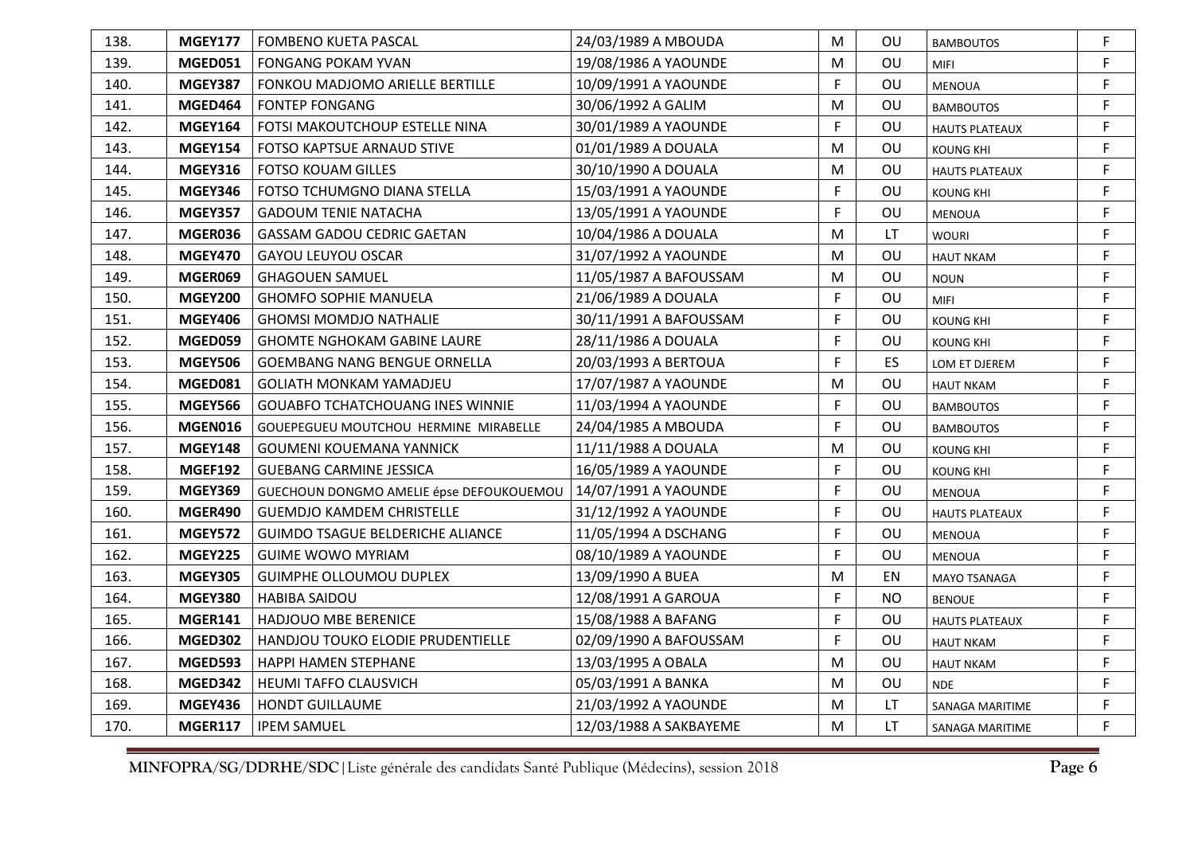| 138. | <b>MGEY177</b> | <b>FOMBENO KUETA PASCAL</b>              | 24/03/1989 A MBOUDA    | M           | OU.       | <b>BAMBOUTOS</b>      | F |
|------|----------------|------------------------------------------|------------------------|-------------|-----------|-----------------------|---|
| 139. | MGED051        | <b>FONGANG POKAM YVAN</b>                | 19/08/1986 A YAOUNDE   | M           | OU        | <b>MIFI</b>           | F |
| 140. | <b>MGEY387</b> | FONKOU MADJOMO ARIELLE BERTILLE          | 10/09/1991 A YAOUNDE   | F           | OU        | <b>MENOUA</b>         | F |
| 141. | MGED464        | <b>FONTEP FONGANG</b>                    | 30/06/1992 A GALIM     | M           | OU        | <b>BAMBOUTOS</b>      | F |
| 142. | <b>MGEY164</b> | FOTSI MAKOUTCHOUP ESTELLE NINA           | 30/01/1989 A YAOUNDE   | F           | OU        | <b>HAUTS PLATEAUX</b> | F |
| 143. | <b>MGEY154</b> | FOTSO KAPTSUE ARNAUD STIVE               | 01/01/1989 A DOUALA    | M           | <b>OU</b> | <b>KOUNG KHI</b>      | F |
| 144. | <b>MGEY316</b> | <b>FOTSO KOUAM GILLES</b>                | 30/10/1990 A DOUALA    | M           | OU        | <b>HAUTS PLATEAUX</b> | F |
| 145. | <b>MGEY346</b> | FOTSO TCHUMGNO DIANA STELLA              | 15/03/1991 A YAOUNDE   | F           | OU        | <b>KOUNG KHI</b>      | F |
| 146. | <b>MGEY357</b> | <b>GADOUM TENIE NATACHA</b>              | 13/05/1991 A YAOUNDE   | F           | OU        | <b>MENOUA</b>         | F |
| 147. | MGER036        | GASSAM GADOU CEDRIC GAETAN               | 10/04/1986 A DOUALA    | M           | LT        | <b>WOURI</b>          | F |
| 148. | <b>MGEY470</b> | <b>GAYOU LEUYOU OSCAR</b>                | 31/07/1992 A YAOUNDE   | M           | OU        | <b>HAUT NKAM</b>      | F |
| 149. | MGER069        | <b>GHAGOUEN SAMUEL</b>                   | 11/05/1987 A BAFOUSSAM | M           | OU        | <b>NOUN</b>           | F |
| 150. | <b>MGEY200</b> | <b>GHOMFO SOPHIE MANUELA</b>             | 21/06/1989 A DOUALA    | F           | OU        | <b>MIFI</b>           | F |
| 151. | <b>MGEY406</b> | <b>GHOMSI MOMDJO NATHALIE</b>            | 30/11/1991 A BAFOUSSAM | F           | OU        | <b>KOUNG KHI</b>      | F |
| 152. | MGED059        | <b>GHOMTE NGHOKAM GABINE LAURE</b>       | 28/11/1986 A DOUALA    | $\mathsf F$ | OU        | <b>KOUNG KHI</b>      | F |
| 153. | <b>MGEY506</b> | <b>GOEMBANG NANG BENGUE ORNELLA</b>      | 20/03/1993 A BERTOUA   | F           | ES        | LOM ET DJEREM         | F |
| 154. | MGED081        | <b>GOLIATH MONKAM YAMADJEU</b>           | 17/07/1987 A YAOUNDE   | M           | OU        | <b>HAUT NKAM</b>      | F |
| 155. | <b>MGEY566</b> | <b>GOUABFO TCHATCHOUANG INES WINNIE</b>  | 11/03/1994 A YAOUNDE   | F           | OU        | <b>BAMBOUTOS</b>      | F |
| 156. | MGEN016        | GOUEPEGUEU MOUTCHOU HERMINE MIRABELLE    | 24/04/1985 A MBOUDA    | F           | OU        | <b>BAMBOUTOS</b>      | F |
| 157. | <b>MGEY148</b> | <b>GOUMENI KOUEMANA YANNICK</b>          | 11/11/1988 A DOUALA    | M           | OU        | <b>KOUNG KHI</b>      | F |
| 158. | <b>MGEF192</b> | <b>GUEBANG CARMINE JESSICA</b>           | 16/05/1989 A YAOUNDE   | F           | OU        | <b>KOUNG KHI</b>      | F |
| 159. | <b>MGEY369</b> | GUECHOUN DONGMO AMELIE épse DEFOUKOUEMOU | 14/07/1991 A YAOUNDE   | F           | OU        | <b>MENOUA</b>         | F |
| 160. | MGER490        | <b>GUEMDJO KAMDEM CHRISTELLE</b>         | 31/12/1992 A YAOUNDE   | F           | OU        | <b>HAUTS PLATEAUX</b> | F |
| 161. | <b>MGEY572</b> | <b>GUIMDO TSAGUE BELDERICHE ALIANCE</b>  | 11/05/1994 A DSCHANG   | F           | OU        | <b>MENOUA</b>         | F |
| 162. | <b>MGEY225</b> | <b>GUIME WOWO MYRIAM</b>                 | 08/10/1989 A YAOUNDE   | F           | OU        | <b>MENOUA</b>         | F |
| 163. | <b>MGEY305</b> | <b>GUIMPHE OLLOUMOU DUPLEX</b>           | 13/09/1990 A BUEA      | M           | EN        | <b>MAYO TSANAGA</b>   | F |
| 164. | <b>MGEY380</b> | <b>HABIBA SAIDOU</b>                     | 12/08/1991 A GAROUA    | F           | NO.       | <b>BENOUE</b>         | F |
| 165. | <b>MGER141</b> | <b>HADJOUO MBE BERENICE</b>              | 15/08/1988 A BAFANG    | F           | OU        | <b>HAUTS PLATEAUX</b> | F |
| 166. | MGED302        | HANDJOU TOUKO ELODIE PRUDENTIELLE        | 02/09/1990 A BAFOUSSAM | F           | OU        | <b>HAUT NKAM</b>      | F |
| 167. | MGED593        | HAPPI HAMEN STEPHANE                     | 13/03/1995 A OBALA     | M           | OU        | <b>HAUT NKAM</b>      | F |
| 168. | MGED342        | <b>HEUMI TAFFO CLAUSVICH</b>             | 05/03/1991 A BANKA     | M           | OU        | <b>NDE</b>            | F |
| 169. | <b>MGEY436</b> | <b>HONDT GUILLAUME</b>                   | 21/03/1992 A YAOUNDE   | M           | LT        | SANAGA MARITIME       | F |
| 170. | <b>MGER117</b> | <b>IPEM SAMUEL</b>                       | 12/03/1988 A SAKBAYEME | M           | <b>LT</b> | SANAGA MARITIME       | F |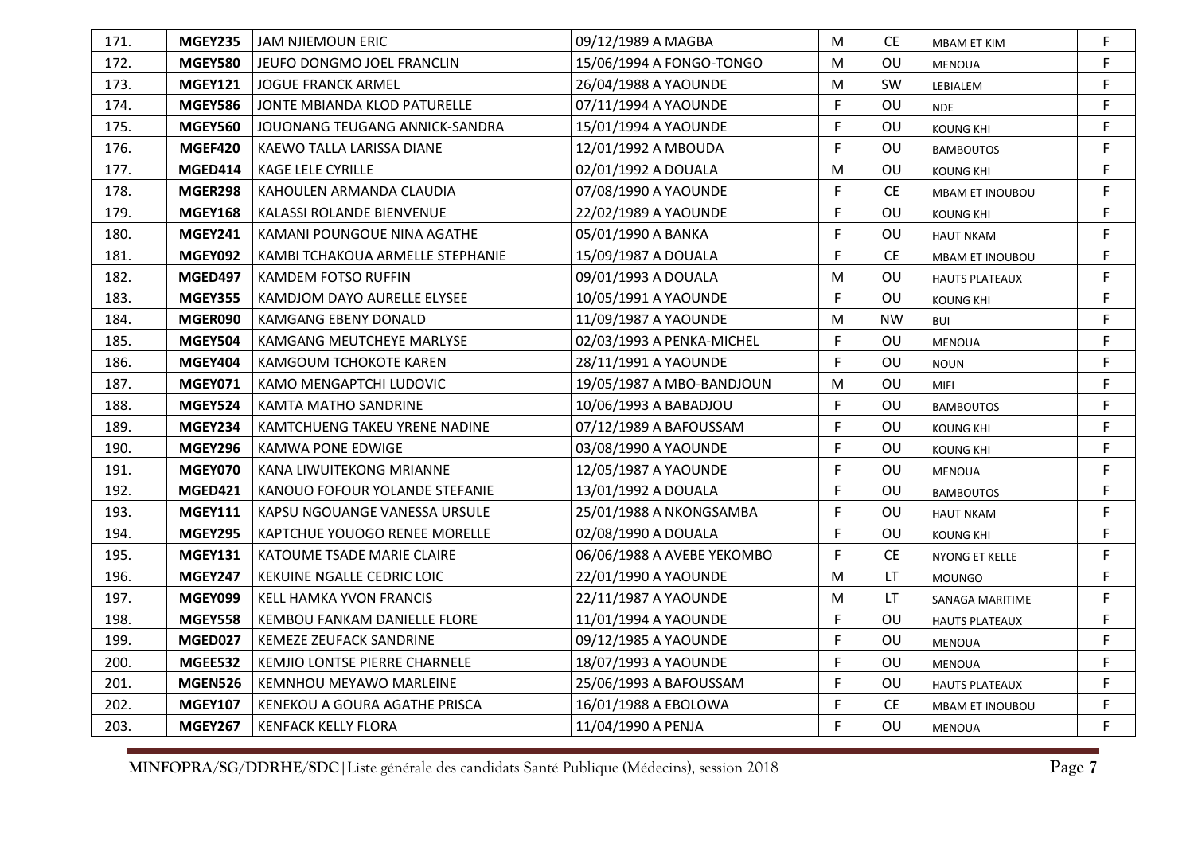| 171. | <b>MGEY235</b> | <b>JAM NJIEMOUN ERIC</b>         | 09/12/1989 A MAGBA         | M            | CE.       | <b>MBAM ET KIM</b>    | F |
|------|----------------|----------------------------------|----------------------------|--------------|-----------|-----------------------|---|
| 172. | <b>MGEY580</b> | JEUFO DONGMO JOEL FRANCLIN       | 15/06/1994 A FONGO-TONGO   | M            | OU        | <b>MENOUA</b>         | F |
| 173. | <b>MGEY121</b> | <b>JOGUE FRANCK ARMEL</b>        | 26/04/1988 A YAOUNDE       | M            | SW        | LEBIALEM              | F |
| 174. | <b>MGEY586</b> | JONTE MBIANDA KLOD PATURELLE     | 07/11/1994 A YAOUNDE       | F            | OU        | <b>NDE</b>            | F |
| 175. | <b>MGEY560</b> | JOUONANG TEUGANG ANNICK-SANDRA   | 15/01/1994 A YAOUNDE       | $\mathsf F$  | OU        | <b>KOUNG KHI</b>      | F |
| 176. | MGEF420        | KAEWO TALLA LARISSA DIANE        | 12/01/1992 A MBOUDA        | F            | OU        | <b>BAMBOUTOS</b>      | F |
| 177. | MGED414        | <b>KAGE LELE CYRILLE</b>         | 02/01/1992 A DOUALA        | M            | OU        | <b>KOUNG KHI</b>      | F |
| 178. | MGER298        | KAHOULEN ARMANDA CLAUDIA         | 07/08/1990 A YAOUNDE       | F            | <b>CE</b> | MBAM ET INOUBOU       | F |
| 179. | <b>MGEY168</b> | KALASSI ROLANDE BIENVENUE        | 22/02/1989 A YAOUNDE       | $\mathsf F$  | OU        | <b>KOUNG KHI</b>      | F |
| 180. | <b>MGEY241</b> | KAMANI POUNGOUE NINA AGATHE      | 05/01/1990 A BANKA         | F            | OU        | <b>HAUT NKAM</b>      | F |
| 181. | <b>MGEY092</b> | KAMBI TCHAKOUA ARMELLE STEPHANIE | 15/09/1987 A DOUALA        | $\mathsf{F}$ | <b>CE</b> | MBAM ET INOUBOU       | F |
| 182. | MGED497        | <b>KAMDEM FOTSO RUFFIN</b>       | 09/01/1993 A DOUALA        | M            | OU        | <b>HAUTS PLATEAUX</b> | F |
| 183. | <b>MGEY355</b> | KAMDJOM DAYO AURELLE ELYSEE      | 10/05/1991 A YAOUNDE       | F            | OU        | <b>KOUNG KHI</b>      | F |
| 184. | MGER090        | <b>KAMGANG EBENY DONALD</b>      | 11/09/1987 A YAOUNDE       | M            | <b>NW</b> | <b>BUI</b>            | F |
| 185. | <b>MGEY504</b> | KAMGANG MEUTCHEYE MARLYSE        | 02/03/1993 A PENKA-MICHEL  | $\mathsf F$  | OU        | <b>MENOUA</b>         | F |
| 186. | <b>MGEY404</b> | KAMGOUM TCHOKOTE KAREN           | 28/11/1991 A YAOUNDE       | F.           | OU        | <b>NOUN</b>           | F |
| 187. | <b>MGEY071</b> | KAMO MENGAPTCHI LUDOVIC          | 19/05/1987 A MBO-BANDJOUN  | M            | OU        | <b>MIFI</b>           | F |
| 188. | <b>MGEY524</b> | KAMTA MATHO SANDRINE             | 10/06/1993 A BABADJOU      | F            | OU        | <b>BAMBOUTOS</b>      | F |
| 189. | MGEY234        | KAMTCHUENG TAKEU YRENE NADINE    | 07/12/1989 A BAFOUSSAM     | F            | OU        | <b>KOUNG KHI</b>      | F |
| 190. | <b>MGEY296</b> | <b>KAMWA PONE EDWIGE</b>         | 03/08/1990 A YAOUNDE       | F            | OU        | <b>KOUNG KHI</b>      | F |
| 191. | MGEY070        | KANA LIWUITEKONG MRIANNE         | 12/05/1987 A YAOUNDE       | F            | OU        | <b>MENOUA</b>         | F |
| 192. | <b>MGED421</b> | KANOUO FOFOUR YOLANDE STEFANIE   | 13/01/1992 A DOUALA        | F.           | OU        | <b>BAMBOUTOS</b>      | F |
| 193. | <b>MGEY111</b> | KAPSU NGOUANGE VANESSA URSULE    | 25/01/1988 A NKONGSAMBA    | F            | OU        | <b>HAUT NKAM</b>      | F |
| 194. | <b>MGEY295</b> | KAPTCHUE YOUOGO RENEE MORELLE    | 02/08/1990 A DOUALA        | F            | OU        | <b>KOUNG KHI</b>      | F |
| 195. | <b>MGEY131</b> | KATOUME TSADE MARIE CLAIRE       | 06/06/1988 A AVEBE YEKOMBO | F            | <b>CE</b> | NYONG ET KELLE        | F |
| 196. | <b>MGEY247</b> | KEKUINE NGALLE CEDRIC LOIC       | 22/01/1990 A YAOUNDE       | M            | LT.       | <b>MOUNGO</b>         | F |
| 197. | MGEY099        | <b>KELL HAMKA YVON FRANCIS</b>   | 22/11/1987 A YAOUNDE       | M            | LT        | SANAGA MARITIME       | F |
| 198. | <b>MGEY558</b> | KEMBOU FANKAM DANIELLE FLORE     | 11/01/1994 A YAOUNDE       | F            | OU        | <b>HAUTS PLATEAUX</b> | F |
| 199. | MGED027        | KEMEZE ZEUFACK SANDRINE          | 09/12/1985 A YAOUNDE       | F            | OU        | <b>MENOUA</b>         | F |
| 200. | MGEE532        | KEMJIO LONTSE PIERRE CHARNELE    | 18/07/1993 A YAOUNDE       | F            | OU        | <b>MENOUA</b>         | F |
| 201. | <b>MGEN526</b> | KEMNHOU MEYAWO MARLEINE          | 25/06/1993 A BAFOUSSAM     | F            | OU        | <b>HAUTS PLATEAUX</b> | F |
| 202. | <b>MGEY107</b> | KENEKOU A GOURA AGATHE PRISCA    | 16/01/1988 A EBOLOWA       | F            | <b>CE</b> | MBAM ET INOUBOU       | F |
| 203. | <b>MGEY267</b> | KENFACK KELLY FLORA              | 11/04/1990 A PENJA         | F            | OU        | <b>MENOUA</b>         | F |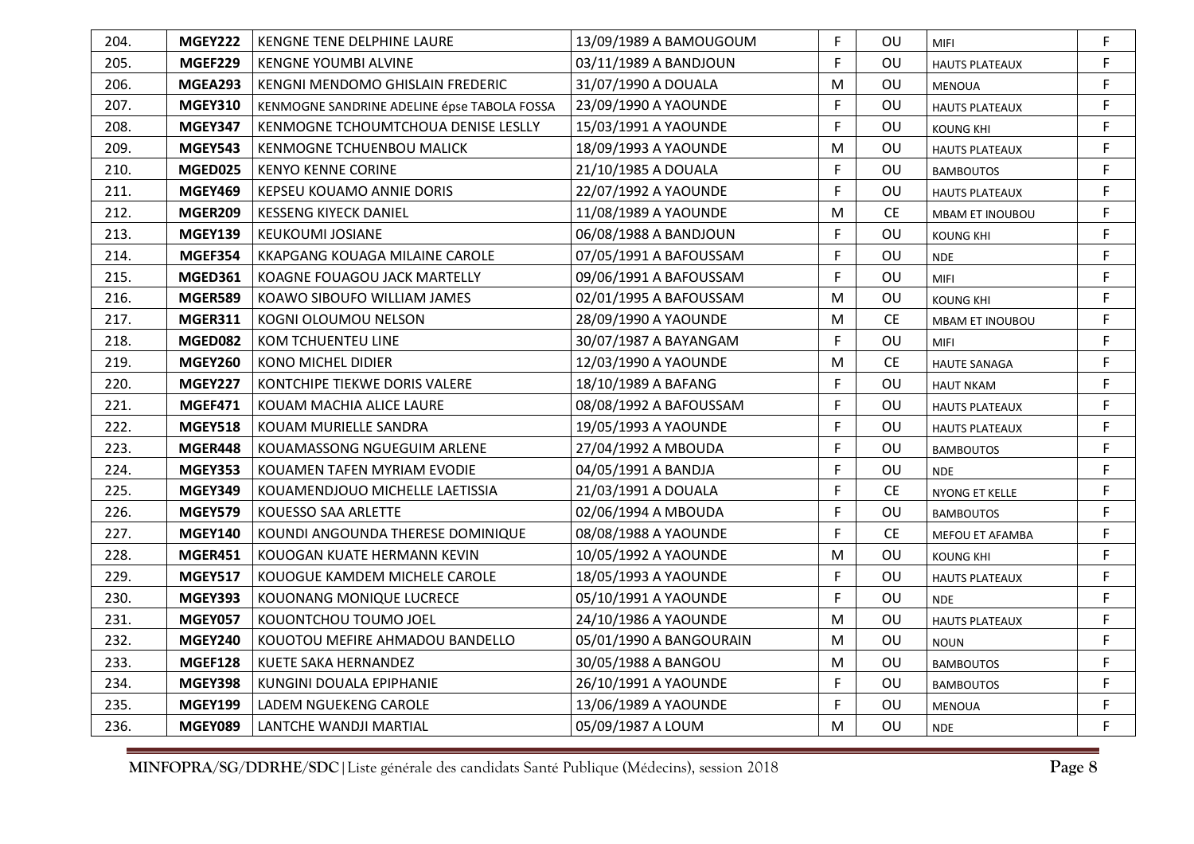| 204. | <b>MGEY222</b> | KENGNE TENE DELPHINE LAURE                  | 13/09/1989 A BAMOUGOUM  | F | OU        | <b>MIFI</b>            | F  |
|------|----------------|---------------------------------------------|-------------------------|---|-----------|------------------------|----|
| 205. | MGEF229        | <b>KENGNE YOUMBI ALVINE</b>                 | 03/11/1989 A BANDJOUN   | F | OU        | <b>HAUTS PLATEAUX</b>  | F  |
| 206. | MGEA293        | KENGNI MENDOMO GHISLAIN FREDERIC            | 31/07/1990 A DOUALA     | M | OU        | <b>MENOUA</b>          | F  |
| 207. | <b>MGEY310</b> | KENMOGNE SANDRINE ADELINE épse TABOLA FOSSA | 23/09/1990 A YAOUNDE    | F | OU        | <b>HAUTS PLATEAUX</b>  | F  |
| 208. | <b>MGEY347</b> | KENMOGNE TCHOUMTCHOUA DENISE LESLLY         | 15/03/1991 A YAOUNDE    | F | OU        | <b>KOUNG KHI</b>       | F  |
| 209. | <b>MGEY543</b> | KENMOGNE TCHUENBOU MALICK                   | 18/09/1993 A YAOUNDE    | M | OU        | <b>HAUTS PLATEAUX</b>  | F  |
| 210. | MGED025        | <b>KENYO KENNE CORINE</b>                   | 21/10/1985 A DOUALA     | F | OU        | <b>BAMBOUTOS</b>       | F. |
| 211. | <b>MGEY469</b> | KEPSEU KOUAMO ANNIE DORIS                   | 22/07/1992 A YAOUNDE    | F | OU        | <b>HAUTS PLATEAUX</b>  | F  |
| 212. | MGER209        | KESSENG KIYECK DANIEL                       | 11/08/1989 A YAOUNDE    | M | <b>CE</b> | MBAM ET INOUBOU        | F  |
| 213. | <b>MGEY139</b> | <b>KEUKOUMI JOSIANE</b>                     | 06/08/1988 A BANDJOUN   | F | OU        | <b>KOUNG KHI</b>       | F  |
| 214. | MGEF354        | <b>KKAPGANG KOUAGA MILAINE CAROLE</b>       | 07/05/1991 A BAFOUSSAM  | F | OU        | <b>NDE</b>             | F  |
| 215. | <b>MGED361</b> | KOAGNE FOUAGOU JACK MARTELLY                | 09/06/1991 A BAFOUSSAM  | F | OU        | <b>MIFI</b>            | F  |
| 216. | MGER589        | KOAWO SIBOUFO WILLIAM JAMES                 | 02/01/1995 A BAFOUSSAM  | M | OU        | <b>KOUNG KHI</b>       | F  |
| 217. | <b>MGER311</b> | KOGNI OLOUMOU NELSON                        | 28/09/1990 A YAOUNDE    | M | <b>CE</b> | <b>MBAM ET INOUBOU</b> | F  |
| 218. | MGED082        | <b>KOM TCHUENTEU LINE</b>                   | 30/07/1987 A BAYANGAM   | F | OU        | <b>MIFI</b>            | F  |
| 219. | <b>MGEY260</b> | <b>KONO MICHEL DIDIER</b>                   | 12/03/1990 A YAOUNDE    | M | <b>CE</b> | <b>HAUTE SANAGA</b>    | F  |
| 220. | <b>MGEY227</b> | KONTCHIPE TIEKWE DORIS VALERE               | 18/10/1989 A BAFANG     | F | OU        | <b>HAUT NKAM</b>       | F  |
| 221. | MGEF471        | KOUAM MACHIA ALICE LAURE                    | 08/08/1992 A BAFOUSSAM  | F | OU        | <b>HAUTS PLATEAUX</b>  | F. |
| 222. | <b>MGEY518</b> | KOUAM MURIELLE SANDRA                       | 19/05/1993 A YAOUNDE    | F | OU        | <b>HAUTS PLATEAUX</b>  | F. |
| 223. | MGER448        | KOUAMASSONG NGUEGUIM ARLENE                 | 27/04/1992 A MBOUDA     | F | OU        | <b>BAMBOUTOS</b>       | F  |
| 224. | <b>MGEY353</b> | KOUAMEN TAFEN MYRIAM EVODIE                 | 04/05/1991 A BANDJA     | F | OU        | <b>NDE</b>             | F  |
| 225. | <b>MGEY349</b> | KOUAMENDJOUO MICHELLE LAETISSIA             | 21/03/1991 A DOUALA     | F | <b>CE</b> | NYONG ET KELLE         | F  |
| 226. | <b>MGEY579</b> | KOUESSO SAA ARLETTE                         | 02/06/1994 A MBOUDA     | F | OU        | <b>BAMBOUTOS</b>       | F  |
| 227. | <b>MGEY140</b> | KOUNDI ANGOUNDA THERESE DOMINIQUE           | 08/08/1988 A YAOUNDE    | F | <b>CE</b> | MEFOU ET AFAMBA        | F  |
| 228. | MGER451        | KOUOGAN KUATE HERMANN KEVIN                 | 10/05/1992 A YAOUNDE    | M | OU        | <b>KOUNG KHI</b>       | F  |
| 229. | <b>MGEY517</b> | KOUOGUE KAMDEM MICHELE CAROLE               | 18/05/1993 A YAOUNDE    | F | OU        | <b>HAUTS PLATEAUX</b>  | F. |
| 230. | <b>MGEY393</b> | KOUONANG MONIQUE LUCRECE                    | 05/10/1991 A YAOUNDE    | F | OU        | <b>NDE</b>             | F  |
| 231. | MGEY057        | KOUONTCHOU TOUMO JOEL                       | 24/10/1986 A YAOUNDE    | M | OU        | <b>HAUTS PLATEAUX</b>  | F  |
| 232. | <b>MGEY240</b> | KOUOTOU MEFIRE AHMADOU BANDELLO             | 05/01/1990 A BANGOURAIN | M | OU        | <b>NOUN</b>            | F  |
| 233. | MGEF128        | KUETE SAKA HERNANDEZ                        | 30/05/1988 A BANGOU     | M | OU        | <b>BAMBOUTOS</b>       | F  |
| 234. | <b>MGEY398</b> | KUNGINI DOUALA EPIPHANIE                    | 26/10/1991 A YAOUNDE    | F | OU        | <b>BAMBOUTOS</b>       | F  |
| 235. | <b>MGEY199</b> | LADEM NGUEKENG CAROLE                       | 13/06/1989 A YAOUNDE    | F | OU        | MENOUA                 | F  |
| 236. | MGEY089        | LANTCHE WANDJI MARTIAL                      | 05/09/1987 A LOUM       | M | OU        | <b>NDE</b>             | F  |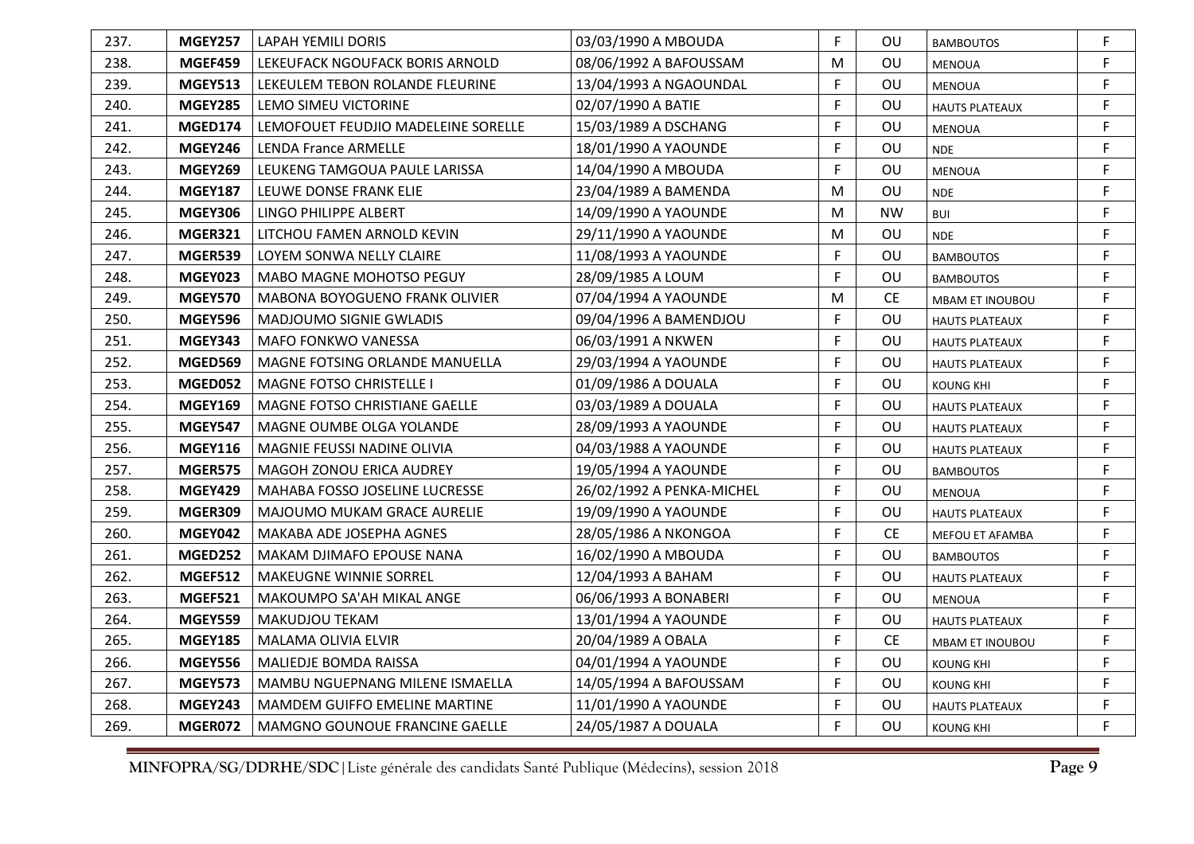| 237. | <b>MGEY257</b> | LAPAH YEMILI DORIS                    | 03/03/1990 A MBOUDA       | F.           | OU.       | <b>BAMBOUTOS</b>       | F |
|------|----------------|---------------------------------------|---------------------------|--------------|-----------|------------------------|---|
| 238. | MGEF459        | LEKEUFACK NGOUFACK BORIS ARNOLD       | 08/06/1992 A BAFOUSSAM    | M            | OU        | <b>MENOUA</b>          | F |
| 239. | <b>MGEY513</b> | LEKEULEM TEBON ROLANDE FLEURINE       | 13/04/1993 A NGAOUNDAL    | $\mathsf{F}$ | OU        | <b>MENOUA</b>          | F |
| 240. | <b>MGEY285</b> | LEMO SIMEU VICTORINE                  | 02/07/1990 A BATIE        | F            | OU        | <b>HAUTS PLATEAUX</b>  | F |
| 241. | MGED174        | LEMOFOUET FEUDJIO MADELEINE SORELLE   | 15/03/1989 A DSCHANG      | $\mathsf F$  | OU        | MENOUA                 | F |
| 242. | <b>MGEY246</b> | <b>LENDA France ARMELLE</b>           | 18/01/1990 A YAOUNDE      | F            | OU        | <b>NDE</b>             | F |
| 243. | <b>MGEY269</b> | LEUKENG TAMGOUA PAULE LARISSA         | 14/04/1990 A MBOUDA       | E            | OU        | <b>MENOUA</b>          | F |
| 244. | <b>MGEY187</b> | LEUWE DONSE FRANK ELIE                | 23/04/1989 A BAMENDA      | M            | OU        | <b>NDE</b>             | F |
| 245. | <b>MGEY306</b> | LINGO PHILIPPE ALBERT                 | 14/09/1990 A YAOUNDE      | M            | <b>NW</b> | <b>BUI</b>             | F |
| 246. | <b>MGER321</b> | LITCHOU FAMEN ARNOLD KEVIN            | 29/11/1990 A YAOUNDE      | M            | OU        | <b>NDE</b>             | F |
| 247. | MGER539        | LOYEM SONWA NELLY CLAIRE              | 11/08/1993 A YAOUNDE      | $\mathsf{F}$ | OU        | <b>BAMBOUTOS</b>       | F |
| 248. | <b>MGEY023</b> | <b>MABO MAGNE MOHOTSO PEGUY</b>       | 28/09/1985 A LOUM         | F            | OU        | <b>BAMBOUTOS</b>       | F |
| 249. | <b>MGEY570</b> | <b>MABONA BOYOGUENO FRANK OLIVIER</b> | 07/04/1994 A YAOUNDE      | M            | <b>CE</b> | MBAM ET INOUBOU        | F |
| 250. | <b>MGEY596</b> | MADJOUMO SIGNIE GWLADIS               | 09/04/1996 A BAMENDJOU    | F            | OU        | <b>HAUTS PLATEAUX</b>  | F |
| 251. | <b>MGEY343</b> | MAFO FONKWO VANESSA                   | 06/03/1991 A NKWEN        | $\mathsf F$  | OU        | <b>HAUTS PLATEAUX</b>  | F |
| 252. | <b>MGED569</b> | MAGNE FOTSING ORLANDE MANUELLA        | 29/03/1994 A YAOUNDE      | F.           | OU        | <b>HAUTS PLATEAUX</b>  | F |
| 253. | MGED052        | <b>MAGNE FOTSO CHRISTELLE I</b>       | 01/09/1986 A DOUALA       | $\mathsf F$  | OU        | <b>KOUNG KHI</b>       | F |
| 254. | <b>MGEY169</b> | MAGNE FOTSO CHRISTIANE GAELLE         | 03/03/1989 A DOUALA       | F            | OU        | <b>HAUTS PLATEAUX</b>  | F |
| 255. | <b>MGEY547</b> | MAGNE OUMBE OLGA YOLANDE              | 28/09/1993 A YAOUNDE      | F            | OU        | <b>HAUTS PLATEAUX</b>  | F |
| 256. | <b>MGEY116</b> | MAGNIE FEUSSI NADINE OLIVIA           | 04/03/1988 A YAOUNDE      | F            | OU        | <b>HAUTS PLATEAUX</b>  | F |
| 257. | <b>MGER575</b> | MAGOH ZONOU ERICA AUDREY              | 19/05/1994 A YAOUNDE      | F            | OU        | <b>BAMBOUTOS</b>       | F |
| 258. | <b>MGEY429</b> | MAHABA FOSSO JOSELINE LUCRESSE        | 26/02/1992 A PENKA-MICHEL | F.           | OU        | <b>MENOUA</b>          | F |
| 259. | MGER309        | <b>MAJOUMO MUKAM GRACE AURELIE</b>    | 19/09/1990 A YAOUNDE      | F            | OU        | <b>HAUTS PLATEAUX</b>  | F |
| 260. | <b>MGEY042</b> | MAKABA ADE JOSEPHA AGNES              | 28/05/1986 A NKONGOA      | F            | <b>CE</b> | <b>MEFOU ET AFAMBA</b> | F |
| 261. | MGED252        | MAKAM DJIMAFO EPOUSE NANA             | 16/02/1990 A MBOUDA       | F            | OU        | <b>BAMBOUTOS</b>       | F |
| 262. | <b>MGEF512</b> | MAKEUGNE WINNIE SORREL                | 12/04/1993 A BAHAM        | F            | OU        | <b>HAUTS PLATEAUX</b>  | F |
| 263. | <b>MGEF521</b> | MAKOUMPO SA'AH MIKAL ANGE             | 06/06/1993 A BONABERI     | F            | OU        | <b>MENOUA</b>          | F |
| 264. | <b>MGEY559</b> | <b>MAKUDJOU TEKAM</b>                 | 13/01/1994 A YAOUNDE      | F            | OU        | <b>HAUTS PLATEAUX</b>  | F |
| 265. | <b>MGEY185</b> | MALAMA OLIVIA ELVIR                   | 20/04/1989 A OBALA        | F            | <b>CE</b> | MBAM ET INOUBOU        | F |
| 266. | <b>MGEY556</b> | MALIEDJE BOMDA RAISSA                 | 04/01/1994 A YAOUNDE      | F            | OU        | <b>KOUNG KHI</b>       | F |
| 267. | <b>MGEY573</b> | MAMBU NGUEPNANG MILENE ISMAELLA       | 14/05/1994 A BAFOUSSAM    | F            | OU        | <b>KOUNG KHI</b>       | F |
| 268. | <b>MGEY243</b> | <b>MAMDEM GUIFFO EMELINE MARTINE</b>  | 11/01/1990 A YAOUNDE      | F            | OU        | <b>HAUTS PLATEAUX</b>  | F |
| 269. | MGER072        | MAMGNO GOUNOUE FRANCINE GAELLE        | 24/05/1987 A DOUALA       | F            | OU        | <b>KOUNG KHI</b>       | F |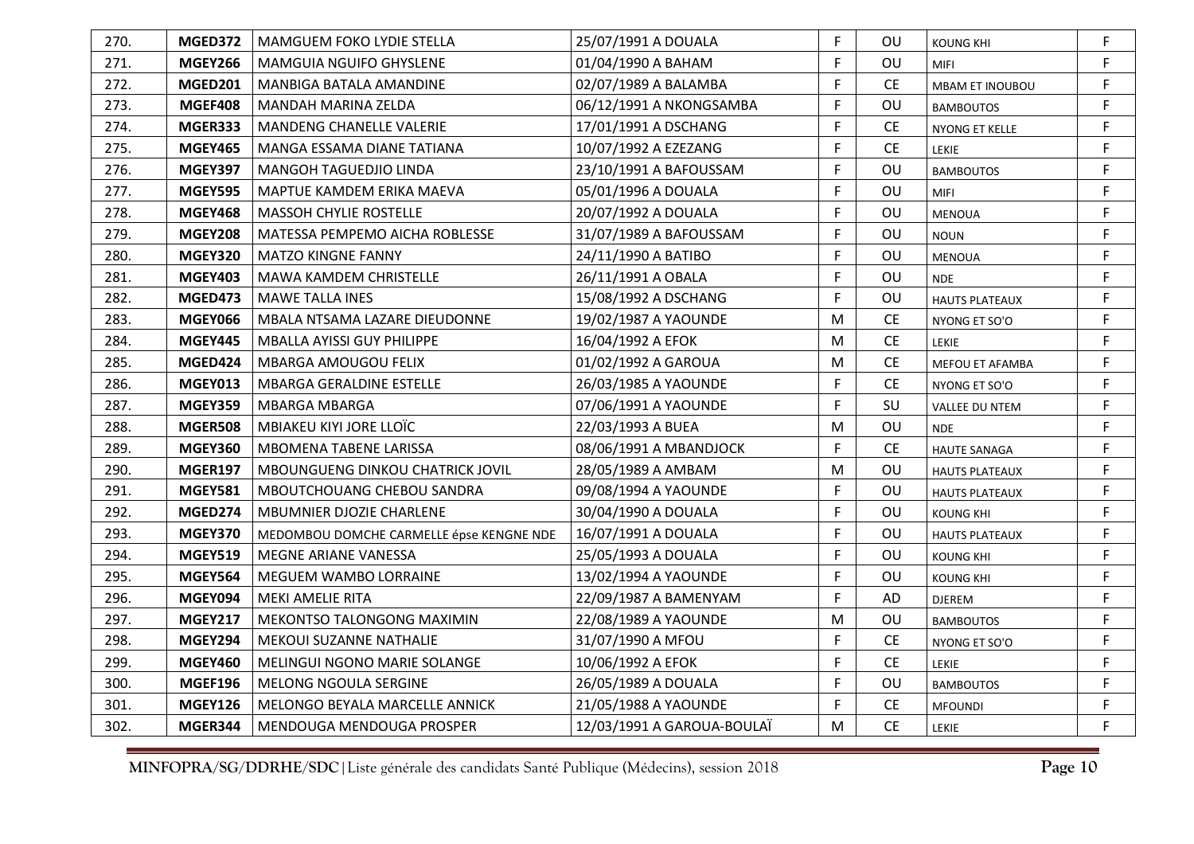| 270. | MGED372        | MAMGUEM FOKO LYDIE STELLA                | 25/07/1991 A DOUALA        | F.           | OU.       | <b>KOUNG KHI</b>       | F |
|------|----------------|------------------------------------------|----------------------------|--------------|-----------|------------------------|---|
| 271. | <b>MGEY266</b> | <b>MAMGUIA NGUIFO GHYSLENE</b>           | 01/04/1990 A BAHAM         | F            | OU        | <b>MIFI</b>            | F |
| 272. | <b>MGED201</b> | MANBIGA BATALA AMANDINE                  | 02/07/1989 A BALAMBA       | F            | <b>CE</b> | <b>MBAM ET INOUBOU</b> | F |
| 273. | MGEF408        | MANDAH MARINA ZELDA                      | 06/12/1991 A NKONGSAMBA    | E            | OU        | <b>BAMBOUTOS</b>       | F |
| 274. | MGER333        | MANDENG CHANELLE VALERIE                 | 17/01/1991 A DSCHANG       | $\mathsf F$  | CE.       | NYONG ET KELLE         | F |
| 275. | <b>MGEY465</b> | MANGA ESSAMA DIANE TATIANA               | 10/07/1992 A EZEZANG       | F            | <b>CE</b> | <b>LEKIE</b>           | F |
| 276. | <b>MGEY397</b> | MANGOH TAGUEDJIO LINDA                   | 23/10/1991 A BAFOUSSAM     | F            | OU        | <b>BAMBOUTOS</b>       | F |
| 277. | <b>MGEY595</b> | MAPTUE KAMDEM ERIKA MAEVA                | 05/01/1996 A DOUALA        | F            | OU        | <b>MIFI</b>            | F |
| 278. | <b>MGEY468</b> | MASSOH CHYLIE ROSTELLE                   | 20/07/1992 A DOUALA        | F            | OU        | MENOUA                 | F |
| 279. | <b>MGEY208</b> | MATESSA PEMPEMO AICHA ROBLESSE           | 31/07/1989 A BAFOUSSAM     | F            | OU        | <b>NOUN</b>            | F |
| 280. | <b>MGEY320</b> | <b>MATZO KINGNE FANNY</b>                | 24/11/1990 A BATIBO        | F            | OU        | <b>MENOUA</b>          | F |
| 281. | <b>MGEY403</b> | <b>MAWA KAMDEM CHRISTELLE</b>            | 26/11/1991 A OBALA         | F            | OU        | <b>NDE</b>             | F |
| 282. | <b>MGED473</b> | <b>MAWE TALLA INES</b>                   | 15/08/1992 A DSCHANG       | F            | OU        | <b>HAUTS PLATEAUX</b>  | F |
| 283. | <b>MGEY066</b> | MBALA NTSAMA LAZARE DIEUDONNE            | 19/02/1987 A YAOUNDE       | M            | <b>CE</b> | NYONG ET SO'O          | F |
| 284. | <b>MGEY445</b> | MBALLA AYISSI GUY PHILIPPE               | 16/04/1992 A EFOK          | M            | <b>CE</b> | LEKIE                  | F |
| 285. | MGED424        | MBARGA AMOUGOU FELIX                     | 01/02/1992 A GAROUA        | M            | <b>CE</b> | MEFOU ET AFAMBA        | F |
| 286. | <b>MGEY013</b> | <b>MBARGA GERALDINE ESTELLE</b>          | 26/03/1985 A YAOUNDE       | F            | <b>CE</b> | NYONG ET SO'O          | F |
| 287. | <b>MGEY359</b> | <b>MBARGA MBARGA</b>                     | 07/06/1991 A YAOUNDE       | F            | SU        | <b>VALLEE DU NTEM</b>  | F |
| 288. | <b>MGER508</b> | MBIAKEU KIYI JORE LLOÏC                  | 22/03/1993 A BUEA          | M            | OU        | <b>NDE</b>             | F |
| 289. | <b>MGEY360</b> | <b>MBOMENA TABENE LARISSA</b>            | 08/06/1991 A MBANDJOCK     | F            | <b>CE</b> | <b>HAUTE SANAGA</b>    | F |
| 290. | <b>MGER197</b> | MBOUNGUENG DINKOU CHATRICK JOVIL         | 28/05/1989 A AMBAM         | M            | OU        | <b>HAUTS PLATEAUX</b>  | F |
| 291. | <b>MGEY581</b> | MBOUTCHOUANG CHEBOU SANDRA               | 09/08/1994 A YAOUNDE       | $\mathsf{F}$ | OU        | <b>HAUTS PLATEAUX</b>  | F |
| 292. | MGED274        | MBUMNIER DJOZIE CHARLENE                 | 30/04/1990 A DOUALA        | F            | OU        | <b>KOUNG KHI</b>       | F |
| 293. | <b>MGEY370</b> | MEDOMBOU DOMCHE CARMELLE épse KENGNE NDE | 16/07/1991 A DOUALA        | F            | OU        | <b>HAUTS PLATEAUX</b>  | F |
| 294. | <b>MGEY519</b> | MEGNE ARIANE VANESSA                     | 25/05/1993 A DOUALA        | F            | OU        | <b>KOUNG KHI</b>       | F |
| 295. | <b>MGEY564</b> | MEGUEM WAMBO LORRAINE                    | 13/02/1994 A YAOUNDE       | F            | OU        | <b>KOUNG KHI</b>       | F |
| 296. | MGEY094        | MEKI AMELIE RITA                         | 22/09/1987 A BAMENYAM      | F            | AD        | <b>DJEREM</b>          | F |
| 297. | <b>MGEY217</b> | <b>MEKONTSO TALONGONG MAXIMIN</b>        | 22/08/1989 A YAOUNDE       | M            | OU        | <b>BAMBOUTOS</b>       | F |
| 298. | MGEY294        | <b>MEKOUI SUZANNE NATHALIE</b>           | 31/07/1990 A MFOU          | F            | <b>CE</b> | NYONG ET SO'O          | F |
| 299. | <b>MGEY460</b> | MELINGUI NGONO MARIE SOLANGE             | 10/06/1992 A EFOK          | F            | CE        | <b>LEKIE</b>           | F |
| 300. | <b>MGEF196</b> | MELONG NGOULA SERGINE                    | 26/05/1989 A DOUALA        | F            | OU        | <b>BAMBOUTOS</b>       | F |
| 301. | <b>MGEY126</b> | MELONGO BEYALA MARCELLE ANNICK           | 21/05/1988 A YAOUNDE       | F            | <b>CE</b> | <b>MFOUNDI</b>         | F |
| 302. | MGER344        | MENDOUGA MENDOUGA PROSPER                | 12/03/1991 A GAROUA-BOULAÏ | M            | <b>CE</b> | LEKIE                  | F |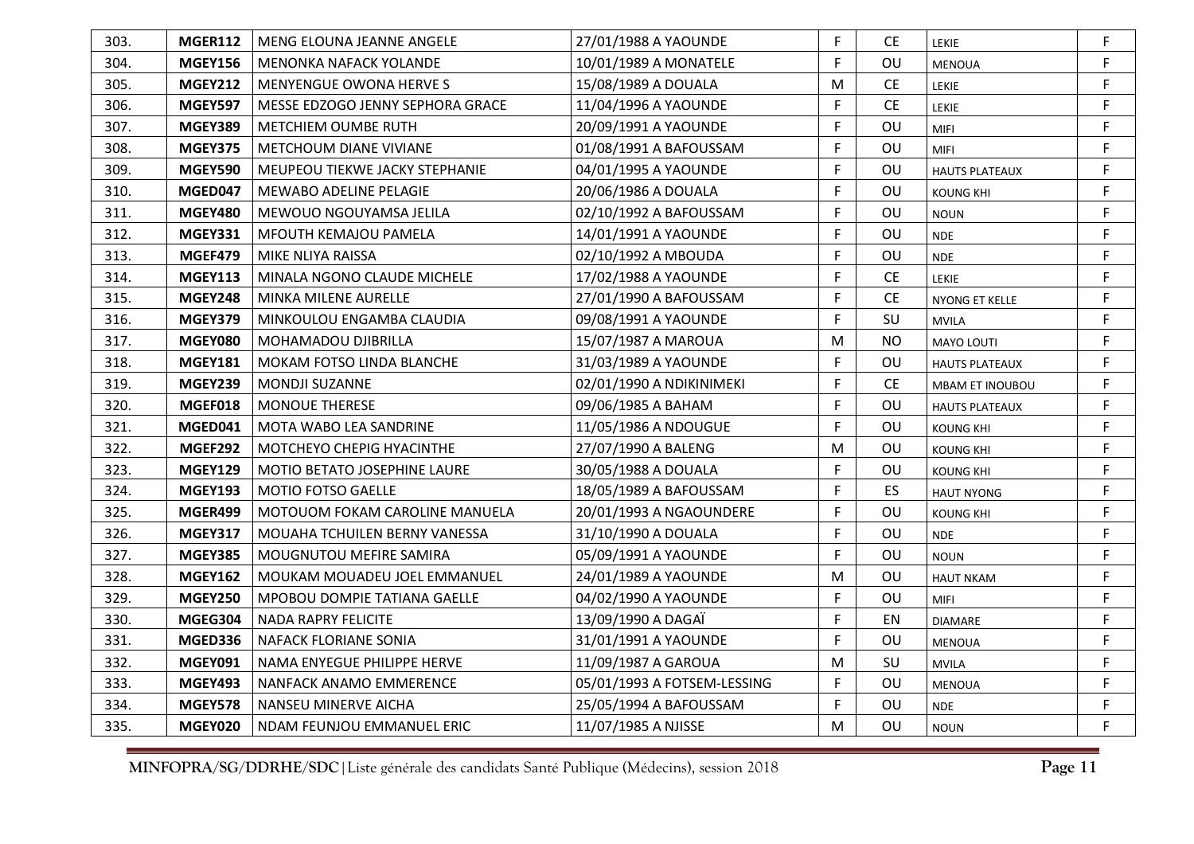| 303. | <b>MGER112</b> | MENG ELOUNA JEANNE ANGELE        | 27/01/1988 A YAOUNDE        | F           | СE        | LEKIE                 | F           |
|------|----------------|----------------------------------|-----------------------------|-------------|-----------|-----------------------|-------------|
| 304. | <b>MGEY156</b> | <b>MENONKA NAFACK YOLANDE</b>    | 10/01/1989 A MONATELE       | F           | OU        | <b>MENOUA</b>         | F           |
| 305. | <b>MGEY212</b> | <b>MENYENGUE OWONA HERVE S</b>   | 15/08/1989 A DOUALA         | M           | <b>CE</b> | LEKIE                 | F           |
| 306. | <b>MGEY597</b> | MESSE EDZOGO JENNY SEPHORA GRACE | 11/04/1996 A YAOUNDE        | F           | <b>CE</b> | LEKIE                 | F           |
| 307. | MGEY389        | METCHIEM OUMBE RUTH              | 20/09/1991 A YAOUNDE        | F           | OU        | <b>MIFI</b>           | F           |
| 308. | <b>MGEY375</b> | METCHOUM DIANE VIVIANE           | 01/08/1991 A BAFOUSSAM      | F           | OU        | <b>MIFI</b>           | F           |
| 309. | MGEY590        | MEUPEOU TIEKWE JACKY STEPHANIE   | 04/01/1995 A YAOUNDE        | F           | OU        | <b>HAUTS PLATEAUX</b> | F           |
| 310. | MGED047        | MEWABO ADELINE PELAGIE           | 20/06/1986 A DOUALA         | F           | OU        | KOUNG KHI             | F           |
| 311. | <b>MGEY480</b> | MEWOUO NGOUYAMSA JELILA          | 02/10/1992 A BAFOUSSAM      | F           | OU        | <b>NOUN</b>           | F           |
| 312. | <b>MGEY331</b> | MFOUTH KEMAJOU PAMELA            | 14/01/1991 A YAOUNDE        | F           | OU        | <b>NDE</b>            | F           |
| 313. | MGEF479        | MIKE NLIYA RAISSA                | 02/10/1992 A MBOUDA         | F           | OU        | <b>NDE</b>            | F           |
| 314. | <b>MGEY113</b> | MINALA NGONO CLAUDE MICHELE      | 17/02/1988 A YAOUNDE        | F           | <b>CE</b> | <b>LEKIE</b>          | F           |
| 315. | <b>MGEY248</b> | MINKA MILENE AURELLE             | 27/01/1990 A BAFOUSSAM      | F           | <b>CE</b> | NYONG ET KELLE        | F           |
| 316. | MGEY379        | MINKOULOU ENGAMBA CLAUDIA        | 09/08/1991 A YAOUNDE        | F           | SU        | <b>MVILA</b>          | F           |
| 317. | MGEY080        | <b>MOHAMADOU DJIBRILLA</b>       | 15/07/1987 A MAROUA         | M           | <b>NO</b> | <b>MAYO LOUTI</b>     | F           |
| 318. | <b>MGEY181</b> | MOKAM FOTSO LINDA BLANCHE        | 31/03/1989 A YAOUNDE        | F           | OU        | <b>HAUTS PLATEAUX</b> | F           |
| 319. | MGEY239        | <b>MONDJI SUZANNE</b>            | 02/01/1990 A NDIKINIMEKI    | F           | <b>CE</b> | MBAM ET INOUBOU       | F           |
| 320. | MGEF018        | <b>MONOUE THERESE</b>            | 09/06/1985 A BAHAM          | F           | OU        | <b>HAUTS PLATEAUX</b> | $\mathsf F$ |
| 321. | MGED041        | MOTA WABO LEA SANDRINE           | 11/05/1986 A NDOUGUE        | F           | OU        | <b>KOUNG KHI</b>      | F           |
| 322. | MGEF292        | MOTCHEYO CHEPIG HYACINTHE        | 27/07/1990 A BALENG         | M           | OU        | KOUNG KHI             | F           |
| 323. | <b>MGEY129</b> | MOTIO BETATO JOSEPHINE LAURE     | 30/05/1988 A DOUALA         | F           | OU        | <b>KOUNG KHI</b>      | F           |
| 324. | <b>MGEY193</b> | MOTIO FOTSO GAELLE               | 18/05/1989 A BAFOUSSAM      | F           | ES        | <b>HAUT NYONG</b>     | F           |
| 325. | MGER499        | MOTOUOM FOKAM CAROLINE MANUELA   | 20/01/1993 A NGAOUNDERE     | F           | OU        | <b>KOUNG KHI</b>      | F           |
| 326. | <b>MGEY317</b> | MOUAHA TCHUILEN BERNY VANESSA    | 31/10/1990 A DOUALA         | F           | OU        | <b>NDE</b>            | F           |
| 327. | <b>MGEY385</b> | MOUGNUTOU MEFIRE SAMIRA          | 05/09/1991 A YAOUNDE        | $\mathsf F$ | OU        | <b>NOUN</b>           | F           |
| 328. | <b>MGEY162</b> | MOUKAM MOUADEU JOEL EMMANUEL     | 24/01/1989 A YAOUNDE        | M           | OU        | <b>HAUT NKAM</b>      | F           |
| 329. | <b>MGEY250</b> | MPOBOU DOMPIE TATIANA GAELLE     | 04/02/1990 A YAOUNDE        | F           | OU        | <b>MIFI</b>           | F           |
| 330. | MGEG304        | <b>NADA RAPRY FELICITE</b>       | 13/09/1990 A DAGAÏ          | F           | EN        | <b>DIAMARE</b>        | F           |
| 331. | MGED336        | NAFACK FLORIANE SONIA            | 31/01/1991 A YAOUNDE        | F           | OU        | <b>MENOUA</b>         | F           |
| 332. | MGEY091        | NAMA ENYEGUE PHILIPPE HERVE      | 11/09/1987 A GAROUA         | M           | SU        | <b>MVILA</b>          | F           |
| 333. | <b>MGEY493</b> | NANFACK ANAMO EMMERENCE          | 05/01/1993 A FOTSEM-LESSING | F           | OU        | <b>MENOUA</b>         | F           |
| 334. | MGEY578        | NANSEU MINERVE AICHA             | 25/05/1994 A BAFOUSSAM      | F           | OU        | <b>NDE</b>            | F           |
| 335. | MGEY020        | NDAM FEUNJOU EMMANUEL ERIC       | 11/07/1985 A NJISSE         | M           | OU        | <b>NOUN</b>           | F           |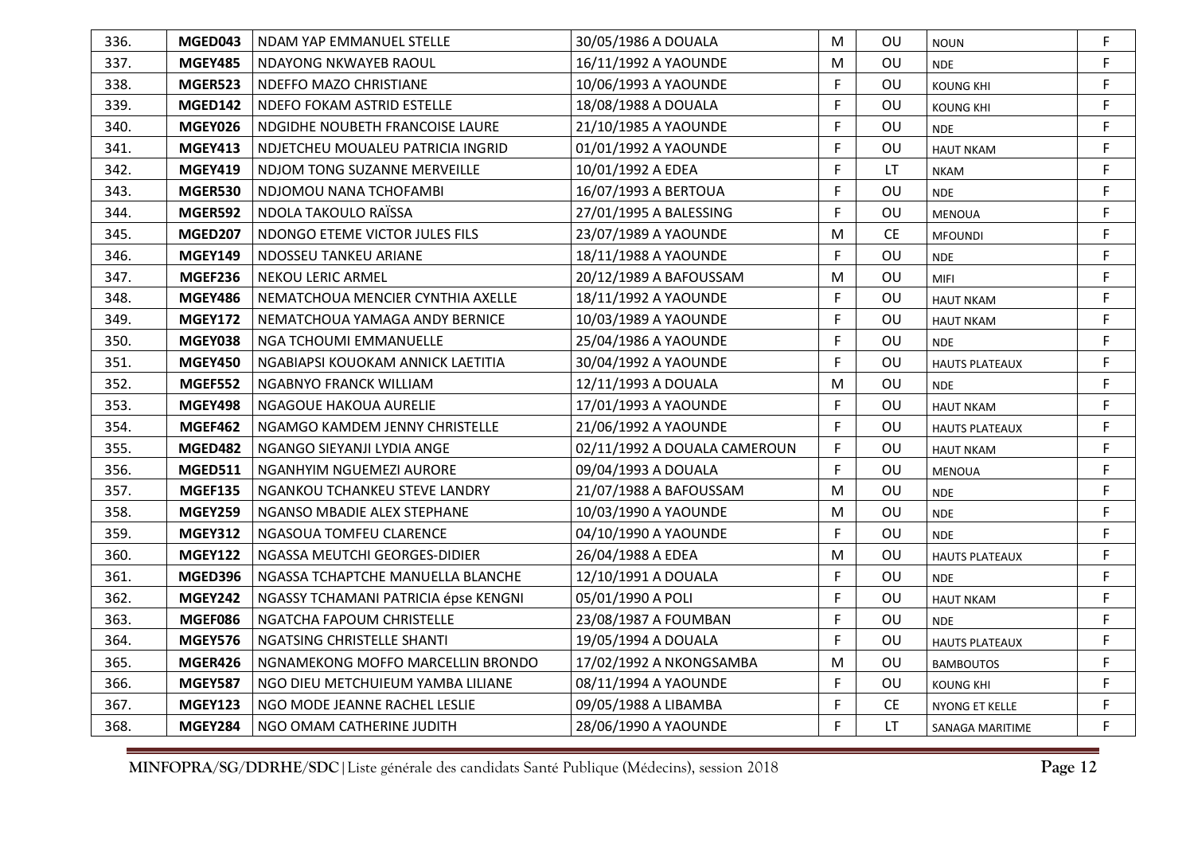| 336. | MGED043        | NDAM YAP EMMANUEL STELLE             | 30/05/1986 A DOUALA          | M | OU        | <b>NOUN</b>           | F           |
|------|----------------|--------------------------------------|------------------------------|---|-----------|-----------------------|-------------|
| 337. | <b>MGEY485</b> | NDAYONG NKWAYEB RAOUL                | 16/11/1992 A YAOUNDE         | M | OU        | <b>NDE</b>            | F           |
| 338. | MGER523        | NDEFFO MAZO CHRISTIANE               | 10/06/1993 A YAOUNDE         | F | OU        | <b>KOUNG KHI</b>      | F           |
| 339. | MGED142        | NDEFO FOKAM ASTRID ESTELLE           | 18/08/1988 A DOUALA          | F | OU        | <b>KOUNG KHI</b>      | F           |
| 340. | MGEY026        | NDGIDHE NOUBETH FRANCOISE LAURE      | 21/10/1985 A YAOUNDE         | F | OU        | <b>NDE</b>            | F           |
| 341. | <b>MGEY413</b> | NDJETCHEU MOUALEU PATRICIA INGRID    | 01/01/1992 A YAOUNDE         | F | OU        | <b>HAUT NKAM</b>      | F           |
| 342. | <b>MGEY419</b> | NDJOM TONG SUZANNE MERVEILLE         | 10/01/1992 A EDEA            | F | <b>LT</b> | <b>NKAM</b>           | F           |
| 343. | MGER530        | NDJOMOU NANA TCHOFAMBI               | 16/07/1993 A BERTOUA         | F | OU        | <b>NDE</b>            | F           |
| 344. | MGER592        | NDOLA TAKOULO RAÏSSA                 | 27/01/1995 A BALESSING       | F | OU        | MENOUA                | F           |
| 345. | <b>MGED207</b> | NDONGO ETEME VICTOR JULES FILS       | 23/07/1989 A YAOUNDE         | M | <b>CE</b> | <b>MFOUNDI</b>        | F           |
| 346. | <b>MGEY149</b> | NDOSSEU TANKEU ARIANE                | 18/11/1988 A YAOUNDE         | F | OU        | <b>NDE</b>            | F           |
| 347. | MGEF236        | <b>NEKOU LERIC ARMEL</b>             | 20/12/1989 A BAFOUSSAM       | M | OU        | <b>MIFI</b>           | F           |
| 348. | <b>MGEY486</b> | NEMATCHOUA MENCIER CYNTHIA AXELLE    | 18/11/1992 A YAOUNDE         | F | OU        | <b>HAUT NKAM</b>      | F           |
| 349. | <b>MGEY172</b> | NEMATCHOUA YAMAGA ANDY BERNICE       | 10/03/1989 A YAOUNDE         | F | <b>OU</b> | <b>HAUT NKAM</b>      | $\mathsf F$ |
| 350. | MGEY038        | NGA TCHOUMI EMMANUELLE               | 25/04/1986 A YAOUNDE         | F | OU        | <b>NDE</b>            | F           |
| 351. | <b>MGEY450</b> | NGABIAPSI KOUOKAM ANNICK LAETITIA    | 30/04/1992 A YAOUNDE         | F | OU        | <b>HAUTS PLATEAUX</b> | F           |
| 352. | <b>MGEF552</b> | NGABNYO FRANCK WILLIAM               | 12/11/1993 A DOUALA          | M | OU        | <b>NDE</b>            | F           |
| 353. | <b>MGEY498</b> | NGAGOUE HAKOUA AURELIE               | 17/01/1993 A YAOUNDE         | F | OU        | <b>HAUT NKAM</b>      | F           |
| 354. | MGEF462        | NGAMGO KAMDEM JENNY CHRISTELLE       | 21/06/1992 A YAOUNDE         | F | OU        | <b>HAUTS PLATEAUX</b> | F           |
| 355. | MGED482        | NGANGO SIEYANJI LYDIA ANGE           | 02/11/1992 A DOUALA CAMEROUN | F | OU        | <b>HAUT NKAM</b>      | F           |
| 356. | MGED511        | NGANHYIM NGUEMEZI AURORE             | 09/04/1993 A DOUALA          | F | OU        | <b>MENOUA</b>         | F           |
| 357. | <b>MGEF135</b> | NGANKOU TCHANKEU STEVE LANDRY        | 21/07/1988 A BAFOUSSAM       | M | OU        | <b>NDE</b>            | F           |
| 358. | <b>MGEY259</b> | NGANSO MBADIE ALEX STEPHANE          | 10/03/1990 A YAOUNDE         | M | OU        | <b>NDE</b>            | F           |
| 359. | <b>MGEY312</b> | NGASOUA TOMFEU CLARENCE              | 04/10/1990 A YAOUNDE         | F | OU        | <b>NDE</b>            | F           |
| 360. | <b>MGEY122</b> | NGASSA MEUTCHI GEORGES-DIDIER        | 26/04/1988 A EDEA            | M | OU        | <b>HAUTS PLATEAUX</b> | F           |
| 361. | MGED396        | NGASSA TCHAPTCHE MANUELLA BLANCHE    | 12/10/1991 A DOUALA          | F | OU        | <b>NDE</b>            | F           |
| 362. | <b>MGEY242</b> | NGASSY TCHAMANI PATRICIA épse KENGNI | 05/01/1990 A POLI            | F | OU        | <b>HAUT NKAM</b>      | F           |
| 363. | MGEF086        | NGATCHA FAPOUM CHRISTELLE            | 23/08/1987 A FOUMBAN         | F | OU        | <b>NDE</b>            | F           |
| 364. | <b>MGEY576</b> | NGATSING CHRISTELLE SHANTI           | 19/05/1994 A DOUALA          | F | OU        | <b>HAUTS PLATEAUX</b> | F           |
| 365. | MGER426        | NGNAMEKONG MOFFO MARCELLIN BRONDO    | 17/02/1992 A NKONGSAMBA      | M | OU        | <b>BAMBOUTOS</b>      | F           |
| 366. | <b>MGEY587</b> | NGO DIEU METCHUIEUM YAMBA LILIANE    | 08/11/1994 A YAOUNDE         | F | OU        | KOUNG KHI             | F           |
| 367. | <b>MGEY123</b> | NGO MODE JEANNE RACHEL LESLIE        | 09/05/1988 A LIBAMBA         | F | <b>CE</b> | NYONG ET KELLE        | F           |
| 368. | <b>MGEY284</b> | NGO OMAM CATHERINE JUDITH            | 28/06/1990 A YAOUNDE         | F | <b>LT</b> | SANAGA MARITIME       | F.          |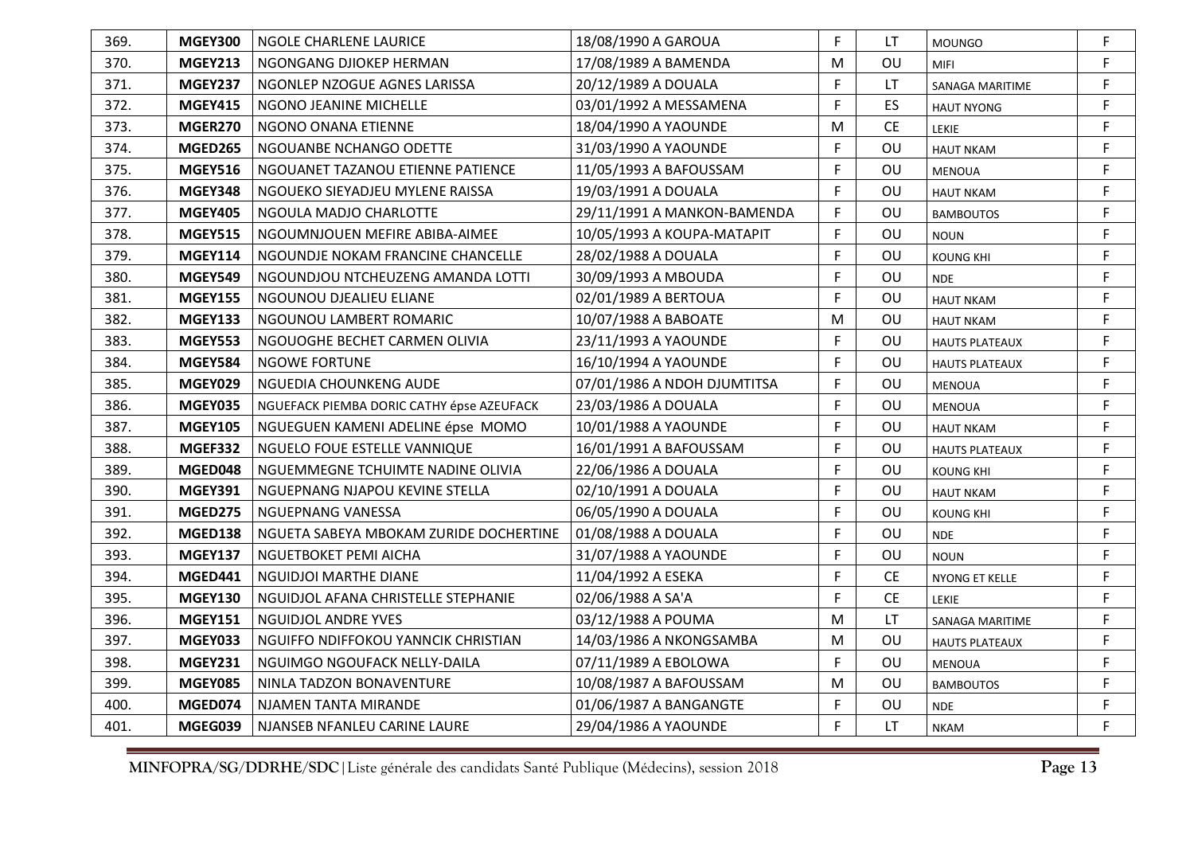| 369. | <b>MGEY300</b> | NGOLE CHARLENE LAURICE                    | 18/08/1990 A GAROUA         | F.           | LT        | <b>MOUNGO</b>         | F |
|------|----------------|-------------------------------------------|-----------------------------|--------------|-----------|-----------------------|---|
| 370. | <b>MGEY213</b> | NGONGANG DJIOKEP HERMAN                   | 17/08/1989 A BAMENDA        | M            | OU        | <b>MIFI</b>           | F |
| 371. | MGEY237        | NGONLEP NZOGUE AGNES LARISSA              | 20/12/1989 A DOUALA         | $\mathsf{F}$ | <b>LT</b> | SANAGA MARITIME       | F |
| 372. | <b>MGEY415</b> | NGONO JEANINE MICHELLE                    | 03/01/1992 A MESSAMENA      | E            | ES        | <b>HAUT NYONG</b>     | F |
| 373. | MGER270        | NGONO ONANA ETIENNE                       | 18/04/1990 A YAOUNDE        | M            | <b>CE</b> | <b>LEKIE</b>          | F |
| 374. | <b>MGED265</b> | NGOUANBE NCHANGO ODETTE                   | 31/03/1990 A YAOUNDE        | F            | <b>OU</b> | <b>HAUT NKAM</b>      | F |
| 375. | <b>MGEY516</b> | NGOUANET TAZANOU ETIENNE PATIENCE         | 11/05/1993 A BAFOUSSAM      | E            | OU        | <b>MENOUA</b>         | F |
| 376. | <b>MGEY348</b> | NGOUEKO SIEYADJEU MYLENE RAISSA           | 19/03/1991 A DOUALA         | F            | OU        | <b>HAUT NKAM</b>      | F |
| 377. | <b>MGEY405</b> | NGOULA MADJO CHARLOTTE                    | 29/11/1991 A MANKON-BAMENDA | $\mathsf F$  | OU        | <b>BAMBOUTOS</b>      | F |
| 378. | <b>MGEY515</b> | NGOUMNJOUEN MEFIRE ABIBA-AIMEE            | 10/05/1993 A KOUPA-MATAPIT  | F.           | OU        | <b>NOUN</b>           | F |
| 379. | <b>MGEY114</b> | NGOUNDJE NOKAM FRANCINE CHANCELLE         | 28/02/1988 A DOUALA         | $\mathsf{F}$ | OU        | <b>KOUNG KHI</b>      | F |
| 380. | <b>MGEY549</b> | NGOUNDJOU NTCHEUZENG AMANDA LOTTI         | 30/09/1993 A MBOUDA         | F            | OU        | <b>NDE</b>            | F |
| 381. | <b>MGEY155</b> | NGOUNOU DJEALIEU ELIANE                   | 02/01/1989 A BERTOUA        | F            | OU        | <b>HAUT NKAM</b>      | F |
| 382. | <b>MGEY133</b> | NGOUNOU LAMBERT ROMARIC                   | 10/07/1988 A BABOATE        | M            | OU        | <b>HAUT NKAM</b>      | F |
| 383. | <b>MGEY553</b> | NGOUOGHE BECHET CARMEN OLIVIA             | 23/11/1993 A YAOUNDE        | $\mathsf F$  | OU        | <b>HAUTS PLATEAUX</b> | F |
| 384. | <b>MGEY584</b> | <b>NGOWE FORTUNE</b>                      | 16/10/1994 A YAOUNDE        | F.           | OU        | <b>HAUTS PLATEAUX</b> | F |
| 385. | MGEY029        | NGUEDIA CHOUNKENG AUDE                    | 07/01/1986 A NDOH DJUMTITSA | F            | OU        | <b>MENOUA</b>         | F |
| 386. | <b>MGEY035</b> | NGUEFACK PIEMBA DORIC CATHY épse AZEUFACK | 23/03/1986 A DOUALA         | F            | OU        | <b>MENOUA</b>         | F |
| 387. | <b>MGEY105</b> | NGUEGUEN KAMENI ADELINE épse MOMO         | 10/01/1988 A YAOUNDE        | F            | OU        | <b>HAUT NKAM</b>      | F |
| 388. | MGEF332        | NGUELO FOUE ESTELLE VANNIQUE              | 16/01/1991 A BAFOUSSAM      | F            | OU        | <b>HAUTS PLATEAUX</b> | F |
| 389. | MGED048        | NGUEMMEGNE TCHUIMTE NADINE OLIVIA         | 22/06/1986 A DOUALA         | F            | OU        | <b>KOUNG KHI</b>      | F |
| 390. | <b>MGEY391</b> | NGUEPNANG NJAPOU KEVINE STELLA            | 02/10/1991 A DOUALA         | F.           | OU        | <b>HAUT NKAM</b>      | F |
| 391. | <b>MGED275</b> | <b>NGUEPNANG VANESSA</b>                  | 06/05/1990 A DOUALA         | F            | OU        | <b>KOUNG KHI</b>      | F |
| 392. | MGED138        | NGUETA SABEYA MBOKAM ZURIDE DOCHERTINE    | 01/08/1988 A DOUALA         | F            | OU        | <b>NDE</b>            | F |
| 393. | <b>MGEY137</b> | NGUETBOKET PEMI AICHA                     | 31/07/1988 A YAOUNDE        | F            | OU        | <b>NOUN</b>           | F |
| 394. | <b>MGED441</b> | NGUIDJOI MARTHE DIANE                     | 11/04/1992 A ESEKA          | F            | <b>CE</b> | NYONG ET KELLE        | F |
| 395. | <b>MGEY130</b> | NGUIDJOL AFANA CHRISTELLE STEPHANIE       | 02/06/1988 A SA'A           | F            | <b>CE</b> | <b>LEKIE</b>          | F |
| 396. | <b>MGEY151</b> | <b>NGUIDJOL ANDRE YVES</b>                | 03/12/1988 A POUMA          | M            | LT        | SANAGA MARITIME       | F |
| 397. | MGEY033        | NGUIFFO NDIFFOKOU YANNCIK CHRISTIAN       | 14/03/1986 A NKONGSAMBA     | M            | OU        | <b>HAUTS PLATEAUX</b> | F |
| 398. | <b>MGEY231</b> | NGUIMGO NGOUFACK NELLY-DAILA              | 07/11/1989 A EBOLOWA        | F            | OU        | <b>MENOUA</b>         | F |
| 399. | <b>MGEY085</b> | NINLA TADZON BONAVENTURE                  | 10/08/1987 A BAFOUSSAM      | M            | OU        | <b>BAMBOUTOS</b>      | F |
| 400. | MGED074        | NJAMEN TANTA MIRANDE                      | 01/06/1987 A BANGANGTE      | F            | OU        | <b>NDE</b>            | F |
| 401. | MGEG039        | NJANSEB NFANLEU CARINE LAURE              | 29/04/1986 A YAOUNDE        | F            | <b>LT</b> | <b>NKAM</b>           | F |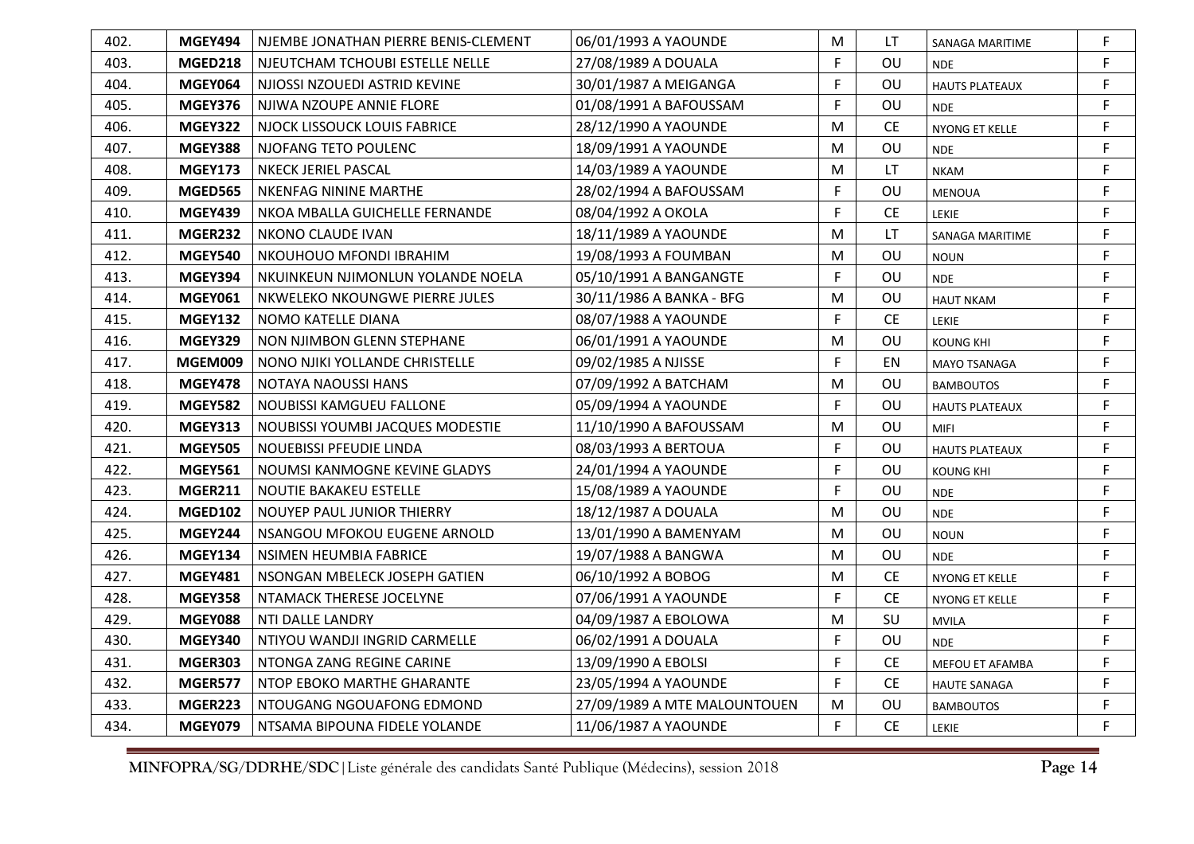| 402. | MGEY494        | NJEMBE JONATHAN PIERRE BENIS-CLEMENT | 06/01/1993 A YAOUNDE         | M | LT        | SANAGA MARITIME       | F           |
|------|----------------|--------------------------------------|------------------------------|---|-----------|-----------------------|-------------|
| 403. | <b>MGED218</b> | NJEUTCHAM TCHOUBI ESTELLE NELLE      | 27/08/1989 A DOUALA          | F | OU        | <b>NDE</b>            | F           |
| 404. | <b>MGEY064</b> | NJIOSSI NZOUEDI ASTRID KEVINE        | 30/01/1987 A MEIGANGA        | F | OU        | <b>HAUTS PLATEAUX</b> | F.          |
| 405. | <b>MGEY376</b> | NJIWA NZOUPE ANNIE FLORE             | 01/08/1991 A BAFOUSSAM       | F | OU        | <b>NDE</b>            | F           |
| 406. | <b>MGEY322</b> | NJOCK LISSOUCK LOUIS FABRICE         | 28/12/1990 A YAOUNDE         | M | <b>CE</b> | NYONG ET KELLE        | F           |
| 407. | <b>MGEY388</b> | NJOFANG TETO POULENC                 | 18/09/1991 A YAOUNDE         | M | OU        | <b>NDE</b>            | F           |
| 408. | <b>MGEY173</b> | NKECK JERIEL PASCAL                  | 14/03/1989 A YAOUNDE         | M | LT        | <b>NKAM</b>           | F           |
| 409. | <b>MGED565</b> | NKENFAG NININE MARTHE                | 28/02/1994 A BAFOUSSAM       | F | OU        | <b>MENOUA</b>         | F           |
| 410. | <b>MGEY439</b> | NKOA MBALLA GUICHELLE FERNANDE       | 08/04/1992 A OKOLA           | F | <b>CE</b> | LEKIE                 | $\mathsf F$ |
| 411. | MGER232        | <b>NKONO CLAUDE IVAN</b>             | 18/11/1989 A YAOUNDE         | M | LT        | SANAGA MARITIME       | $\mathsf F$ |
| 412. | <b>MGEY540</b> | NKOUHOUO MFONDI IBRAHIM              | 19/08/1993 A FOUMBAN         | M | OU        | <b>NOUN</b>           | F           |
| 413. | <b>MGEY394</b> | NKUINKEUN NJIMONLUN YOLANDE NOELA    | 05/10/1991 A BANGANGTE       | F | OU        | <b>NDE</b>            | F           |
| 414. | MGEY061        | NKWELEKO NKOUNGWE PIERRE JULES       | 30/11/1986 A BANKA - BFG     | M | OU        | <b>HAUT NKAM</b>      | F           |
| 415. | <b>MGEY132</b> | NOMO KATELLE DIANA                   | 08/07/1988 A YAOUNDE         | F | <b>CE</b> | LEKIE                 | F           |
| 416. | <b>MGEY329</b> | NON NJIMBON GLENN STEPHANE           | 06/01/1991 A YAOUNDE         | M | OU        | <b>KOUNG KHI</b>      | F           |
| 417. | MGEM009        | NONO NJIKI YOLLANDE CHRISTELLE       | 09/02/1985 A NJISSE          | F | EN        | <b>MAYO TSANAGA</b>   | F           |
| 418. | <b>MGEY478</b> | NOTAYA NAOUSSI HANS                  | 07/09/1992 A BATCHAM         | M | Ου        | <b>BAMBOUTOS</b>      | F           |
| 419. | <b>MGEY582</b> | <b>NOUBISSI KAMGUEU FALLONE</b>      | 05/09/1994 A YAOUNDE         | F | OU        | <b>HAUTS PLATEAUX</b> | F           |
| 420. | <b>MGEY313</b> | NOUBISSI YOUMBI JACQUES MODESTIE     | 11/10/1990 A BAFOUSSAM       | M | OU        | <b>MIFI</b>           | F           |
| 421. | <b>MGEY505</b> | NOUEBISSI PFEUDIE LINDA              | 08/03/1993 A BERTOUA         | F | OU        | <b>HAUTS PLATEAUX</b> | F           |
| 422. | <b>MGEY561</b> | NOUMSI KANMOGNE KEVINE GLADYS        | 24/01/1994 A YAOUNDE         | F | OU        | <b>KOUNG KHI</b>      | F           |
| 423. | <b>MGER211</b> | NOUTIE BAKAKEU ESTELLE               | 15/08/1989 A YAOUNDE         | F | OU        | <b>NDE</b>            | $\mathsf F$ |
| 424. | <b>MGED102</b> | NOUYEP PAUL JUNIOR THIERRY           | 18/12/1987 A DOUALA          | M | OU        | <b>NDE</b>            | F           |
| 425. | <b>MGEY244</b> | NSANGOU MFOKOU EUGENE ARNOLD         | 13/01/1990 A BAMENYAM        | M | OU        | <b>NOUN</b>           | $\mathsf F$ |
| 426. | <b>MGEY134</b> | NSIMEN HEUMBIA FABRICE               | 19/07/1988 A BANGWA          | M | OU        | <b>NDE</b>            | $\mathsf F$ |
| 427. | <b>MGEY481</b> | NSONGAN MBELECK JOSEPH GATIEN        | 06/10/1992 A BOBOG           | M | <b>CE</b> | NYONG ET KELLE        | F           |
| 428. | <b>MGEY358</b> | NTAMACK THERESE JOCELYNE             | 07/06/1991 A YAOUNDE         | F | <b>CE</b> | NYONG ET KELLE        | F           |
| 429. | <b>MGEY088</b> | NTI DALLE LANDRY                     | 04/09/1987 A EBOLOWA         | M | SU        | <b>MVILA</b>          | $\mathsf F$ |
| 430. | <b>MGEY340</b> | NTIYOU WANDJI INGRID CARMELLE        | 06/02/1991 A DOUALA          | F | OU        | <b>NDE</b>            | F           |
| 431. | <b>MGER303</b> | NTONGA ZANG REGINE CARINE            | 13/09/1990 A EBOLSI          | F | <b>CE</b> | MEFOU ET AFAMBA       | F           |
| 432. | MGER577        | NTOP EBOKO MARTHE GHARANTE           | 23/05/1994 A YAOUNDE         | F | <b>CE</b> | <b>HAUTE SANAGA</b>   | F           |
| 433. | MGER223        | NTOUGANG NGOUAFONG EDMOND            | 27/09/1989 A MTE MALOUNTOUEN | M | OU        | BAMBOUTOS             | $\mathsf F$ |
| 434. | MGEY079        | NTSAMA BIPOUNA FIDELE YOLANDE        | 11/06/1987 A YAOUNDE         | F | <b>CE</b> | <b>LEKIE</b>          | F           |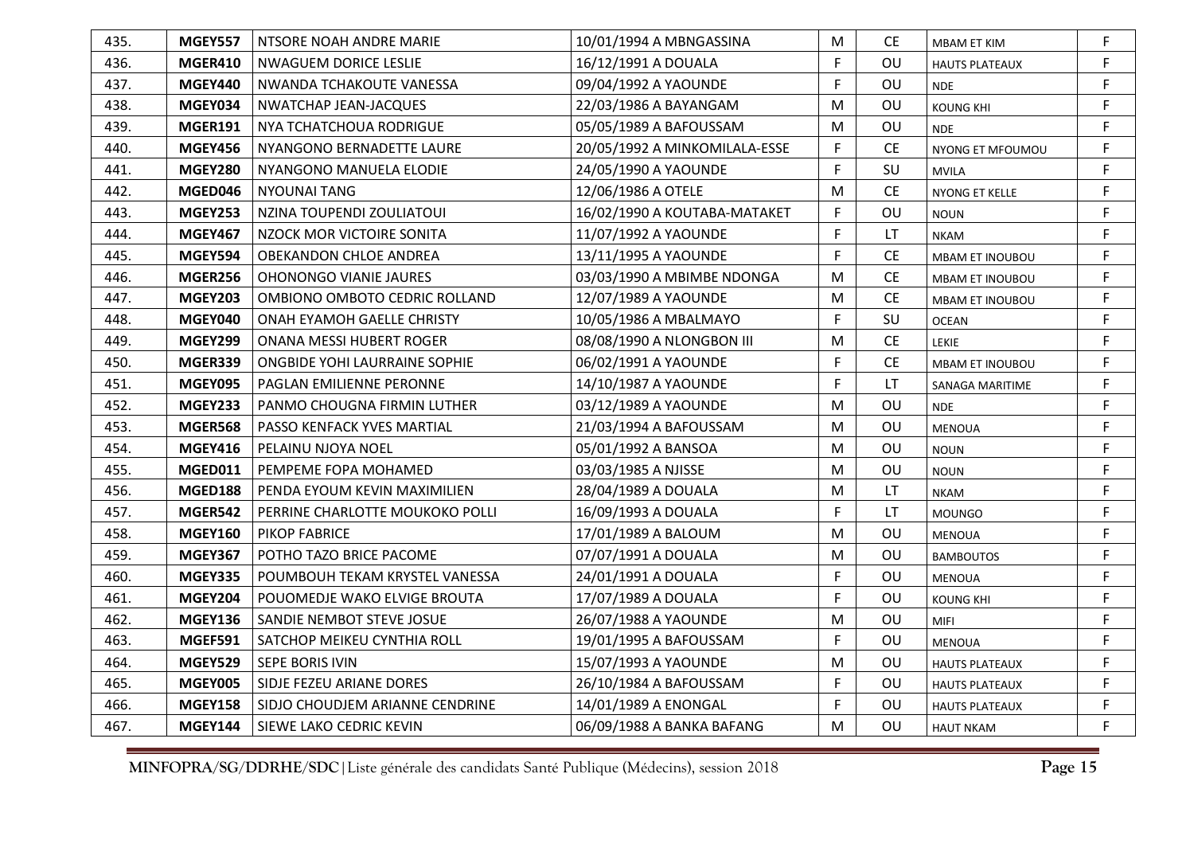| 435. | <b>MGEY557</b> | NTSORE NOAH ANDRE MARIE         | 10/01/1994 A MBNGASSINA       | M           | CЕ        | <b>MBAM ET KIM</b>    | F |
|------|----------------|---------------------------------|-------------------------------|-------------|-----------|-----------------------|---|
| 436. | MGER410        | NWAGUEM DORICE LESLIE           | 16/12/1991 A DOUALA           | F           | OU        | <b>HAUTS PLATEAUX</b> | F |
| 437. | <b>MGEY440</b> | NWANDA TCHAKOUTE VANESSA        | 09/04/1992 A YAOUNDE          | F           | OU        | <b>NDE</b>            | F |
| 438. | MGEY034        | <b>NWATCHAP JEAN-JACQUES</b>    | 22/03/1986 A BAYANGAM         | M           | OU        | <b>KOUNG KHI</b>      | F |
| 439. | <b>MGER191</b> | NYA TCHATCHOUA RODRIGUE         | 05/05/1989 A BAFOUSSAM        | M           | OU        | <b>NDE</b>            | F |
| 440. | <b>MGEY456</b> | NYANGONO BERNADETTE LAURE       | 20/05/1992 A MINKOMILALA-ESSE | F           | <b>CE</b> | NYONG ET MFOUMOU      | F |
| 441. | <b>MGEY280</b> | NYANGONO MANUELA ELODIE         | 24/05/1990 A YAOUNDE          | F.          | SU        | <b>MVILA</b>          | F |
| 442. | MGED046        | <b>NYOUNAI TANG</b>             | 12/06/1986 A OTELE            | M           | <b>CE</b> | NYONG ET KELLE        | F |
| 443. | <b>MGEY253</b> | NZINA TOUPENDI ZOULIATOUI       | 16/02/1990 A KOUTABA-MATAKET  | $\mathsf F$ | OU        | <b>NOUN</b>           | F |
| 444. | <b>MGEY467</b> | NZOCK MOR VICTOIRE SONITA       | 11/07/1992 A YAOUNDE          | F           | LT        | <b>NKAM</b>           | F |
| 445. | <b>MGEY594</b> | OBEKANDON CHLOE ANDREA          | 13/11/1995 A YAOUNDE          | E           | <b>CE</b> | MBAM ET INOUBOU       | F |
| 446. | MGER256        | <b>OHONONGO VIANIE JAURES</b>   | 03/03/1990 A MBIMBE NDONGA    | M           | <b>CE</b> | MBAM ET INOUBOU       | F |
| 447. | <b>MGEY203</b> | OMBIONO OMBOTO CEDRIC ROLLAND   | 12/07/1989 A YAOUNDE          | M           | <b>CE</b> | MBAM ET INOUBOU       | F |
| 448. | MGEY040        | ONAH EYAMOH GAELLE CHRISTY      | 10/05/1986 A MBALMAYO         | F           | SU        | <b>OCEAN</b>          | F |
| 449. | MGEY299        | ONANA MESSI HUBERT ROGER        | 08/08/1990 A NLONGBON III     | M           | <b>CE</b> | LEKIE                 | F |
| 450. | MGER339        | ONGBIDE YOHI LAURRAINE SOPHIE   | 06/02/1991 A YAOUNDE          | F           | <b>CE</b> | MBAM ET INOUBOU       | F |
| 451. | <b>MGEY095</b> | <b>PAGLAN EMILIENNE PERONNE</b> | 14/10/1987 A YAOUNDE          | F           | <b>LT</b> | SANAGA MARITIME       | F |
| 452. | MGEY233        | PANMO CHOUGNA FIRMIN LUTHER     | 03/12/1989 A YAOUNDE          | M           | OU        | <b>NDE</b>            | F |
| 453. | <b>MGER568</b> | PASSO KENFACK YVES MARTIAL      | 21/03/1994 A BAFOUSSAM        | M           | OU        | <b>MENOUA</b>         | F |
| 454. | <b>MGEY416</b> | PELAINU NJOYA NOEL              | 05/01/1992 A BANSOA           | M           | OU        | <b>NOUN</b>           | F |
| 455. | MGED011        | PEMPEME FOPA MOHAMED            | 03/03/1985 A NJISSE           | M           | OU        | <b>NOUN</b>           | F |
| 456. | MGED188        | PENDA EYOUM KEVIN MAXIMILIEN    | 28/04/1989 A DOUALA           | M           | LT        | <b>NKAM</b>           | F |
| 457. | MGER542        | PERRINE CHARLOTTE MOUKOKO POLLI | 16/09/1993 A DOUALA           | F           | <b>LT</b> | <b>MOUNGO</b>         | F |
| 458. | <b>MGEY160</b> | <b>PIKOP FABRICE</b>            | 17/01/1989 A BALOUM           | M           | OU        | <b>MENOUA</b>         | F |
| 459. | <b>MGEY367</b> | POTHO TAZO BRICE PACOME         | 07/07/1991 A DOUALA           | M           | OU        | <b>BAMBOUTOS</b>      | F |
| 460. | <b>MGEY335</b> | POUMBOUH TEKAM KRYSTEL VANESSA  | 24/01/1991 A DOUALA           | $\mathsf F$ | OU        | <b>MENOUA</b>         | F |
| 461. | <b>MGEY204</b> | POUOMEDJE WAKO ELVIGE BROUTA    | 17/07/1989 A DOUALA           | F           | OU        | <b>KOUNG KHI</b>      | F |
| 462. | <b>MGEY136</b> | SANDIE NEMBOT STEVE JOSUE       | 26/07/1988 A YAOUNDE          | M           | OU        | <b>MIFI</b>           | F |
| 463. | MGEF591        | SATCHOP MEIKEU CYNTHIA ROLL     | 19/01/1995 A BAFOUSSAM        | F           | OU        | <b>MENOUA</b>         | F |
| 464. | <b>MGEY529</b> | <b>SEPE BORIS IVIN</b>          | 15/07/1993 A YAOUNDE          | M           | OU        | <b>HAUTS PLATEAUX</b> | F |
| 465. | <b>MGEY005</b> | SIDJE FEZEU ARIANE DORES        | 26/10/1984 A BAFOUSSAM        | F           | OU        | <b>HAUTS PLATEAUX</b> | F |
| 466. | <b>MGEY158</b> | SIDJO CHOUDJEM ARIANNE CENDRINE | 14/01/1989 A ENONGAL          | F           | OU        | <b>HAUTS PLATEAUX</b> | F |
| 467. | <b>MGEY144</b> | SIEWE LAKO CEDRIC KEVIN         | 06/09/1988 A BANKA BAFANG     | M           | OU        | <b>HAUT NKAM</b>      | F |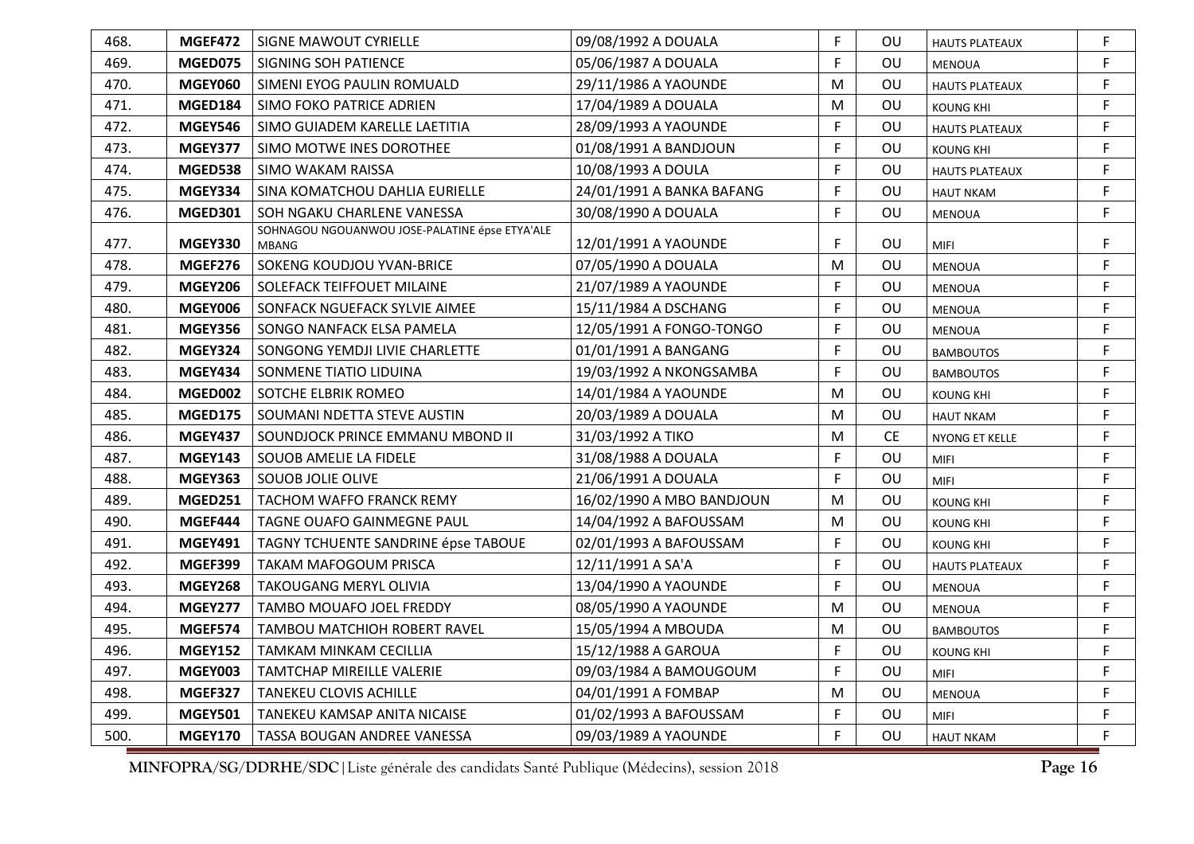| 468. | MGEF472        | SIGNE MAWOUT CYRIELLE                                          | 09/08/1992 A DOUALA       | F.           | <b>OU</b> | <b>HAUTS PLATEAUX</b> | F |
|------|----------------|----------------------------------------------------------------|---------------------------|--------------|-----------|-----------------------|---|
| 469. | MGED075        | SIGNING SOH PATIENCE                                           | 05/06/1987 A DOUALA       | F            | OU        | <b>MENOUA</b>         | F |
| 470. | <b>MGEY060</b> | SIMENI EYOG PAULIN ROMUALD                                     | 29/11/1986 A YAOUNDE      | M            | OU        | <b>HAUTS PLATEAUX</b> | F |
| 471. | MGED184        | SIMO FOKO PATRICE ADRIEN                                       | 17/04/1989 A DOUALA       | M            | OU        | <b>KOUNG KHI</b>      | F |
| 472. | <b>MGEY546</b> | SIMO GUIADEM KARELLE LAETITIA                                  | 28/09/1993 A YAOUNDE      | F            | OU        | <b>HAUTS PLATEAUX</b> | F |
| 473. | MGEY377        | SIMO MOTWE INES DOROTHEE                                       | 01/08/1991 A BANDJOUN     | F            | OU        | <b>KOUNG KHI</b>      | F |
| 474. | MGED538        | <b>SIMO WAKAM RAISSA</b>                                       | 10/08/1993 A DOULA        | F            | OU        | <b>HAUTS PLATEAUX</b> | F |
| 475. | <b>MGEY334</b> | SINA KOMATCHOU DAHLIA EURIELLE                                 | 24/01/1991 A BANKA BAFANG | F            | OU        | <b>HAUT NKAM</b>      | F |
| 476. | <b>MGED301</b> | SOH NGAKU CHARLENE VANESSA                                     | 30/08/1990 A DOUALA       | F            | OU        | MENOUA                | F |
| 477. | <b>MGEY330</b> | SOHNAGOU NGOUANWOU JOSE-PALATINE épse ETYA'ALE<br><b>MBANG</b> | 12/01/1991 A YAOUNDE      | F            | OU        | <b>MIFI</b>           | F |
| 478. | MGEF276        | SOKENG KOUDJOU YVAN-BRICE                                      | 07/05/1990 A DOUALA       | M            | OU        | <b>MENOUA</b>         | F |
| 479. | <b>MGEY206</b> | SOLEFACK TEIFFOUET MILAINE                                     | 21/07/1989 A YAOUNDE      | F            | OU        | <b>MENOUA</b>         | F |
| 480. | <b>MGEY006</b> | SONFACK NGUEFACK SYLVIE AIMEE                                  | 15/11/1984 A DSCHANG      | F            | OU        | <b>MENOUA</b>         | F |
| 481. | <b>MGEY356</b> | SONGO NANFACK ELSA PAMELA                                      | 12/05/1991 A FONGO-TONGO  | F            | OU        | <b>MENOUA</b>         | F |
| 482. | <b>MGEY324</b> | SONGONG YEMDJI LIVIE CHARLETTE                                 | 01/01/1991 A BANGANG      | F            | OU        | <b>BAMBOUTOS</b>      | F |
| 483. | <b>MGEY434</b> | SONMENE TIATIO LIDUINA                                         | 19/03/1992 A NKONGSAMBA   | F            | OU        | <b>BAMBOUTOS</b>      | F |
| 484. | MGED002        | SOTCHE ELBRIK ROMEO                                            | 14/01/1984 A YAOUNDE      | M            | OU        | <b>KOUNG KHI</b>      | F |
| 485. | <b>MGED175</b> | SOUMANI NDETTA STEVE AUSTIN                                    | 20/03/1989 A DOUALA       | M            | OU        | <b>HAUT NKAM</b>      | F |
| 486. | <b>MGEY437</b> | SOUNDJOCK PRINCE EMMANU MBOND II                               | 31/03/1992 A TIKO         | M            | <b>CE</b> | NYONG ET KELLE        | F |
| 487. | <b>MGEY143</b> | <b>SOUOB AMELIE LA FIDELE</b>                                  | 31/08/1988 A DOUALA       | F            | OU        | <b>MIFI</b>           | F |
| 488. | <b>MGEY363</b> | <b>SOUOB JOLIE OLIVE</b>                                       | 21/06/1991 A DOUALA       | F            | OU        | <b>MIFI</b>           | F |
| 489. | <b>MGED251</b> | TACHOM WAFFO FRANCK REMY                                       | 16/02/1990 A MBO BANDJOUN | M            | OU        | <b>KOUNG KHI</b>      | F |
| 490. | MGEF444        | TAGNE OUAFO GAINMEGNE PAUL                                     | 14/04/1992 A BAFOUSSAM    | M            | OU        | <b>KOUNG KHI</b>      | F |
| 491. | <b>MGEY491</b> | TAGNY TCHUENTE SANDRINE épse TABOUE                            | 02/01/1993 A BAFOUSSAM    | F            | OU        | <b>KOUNG KHI</b>      | F |
| 492. | MGEF399        | TAKAM MAFOGOUM PRISCA                                          | 12/11/1991 A SA'A         | F            | OU        | <b>HAUTS PLATEAUX</b> | F |
| 493. | <b>MGEY268</b> | TAKOUGANG MERYL OLIVIA                                         | 13/04/1990 A YAOUNDE      | F            | OU        | <b>MENOUA</b>         | F |
| 494. | MGEY277        | <b>TAMBO MOUAFO JOEL FREDDY</b>                                | 08/05/1990 A YAOUNDE      | M            | OU        | <b>MENOUA</b>         | F |
| 495. | MGEF574        | TAMBOU MATCHIOH ROBERT RAVEL                                   | 15/05/1994 A MBOUDA       | M            | OU        | <b>BAMBOUTOS</b>      | F |
| 496. | <b>MGEY152</b> | TAMKAM MINKAM CECILLIA                                         | 15/12/1988 A GAROUA       | F            | OU        | <b>KOUNG KHI</b>      | F |
| 497. | <b>MGEY003</b> | TAMTCHAP MIREILLE VALERIE                                      | 09/03/1984 A BAMOUGOUM    | $\mathsf{F}$ | OU        | <b>MIFI</b>           | F |
| 498. | MGEF327        | <b>TANEKEU CLOVIS ACHILLE</b>                                  | 04/01/1991 A FOMBAP       | M            | OU        | <b>MENOUA</b>         | F |
| 499. | <b>MGEY501</b> | TANEKEU KAMSAP ANITA NICAISE                                   | 01/02/1993 A BAFOUSSAM    | F            | OU        | <b>MIFI</b>           | F |
| 500. | <b>MGEY170</b> | TASSA BOUGAN ANDREE VANESSA                                    | 09/03/1989 A YAOUNDE      | F            | OU        | <b>HAUT NKAM</b>      | F |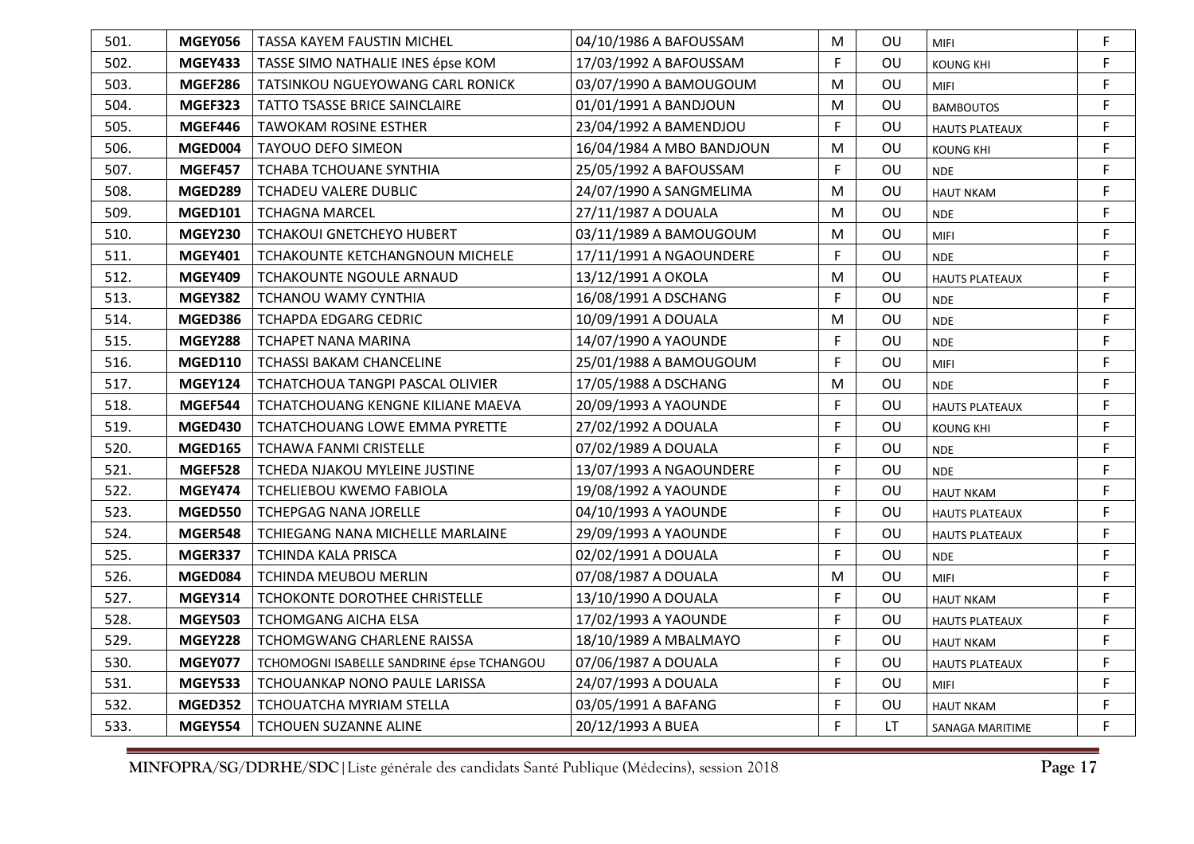| 501. | <b>MGEY056</b> | TASSA KAYEM FAUSTIN MICHEL                | 04/10/1986 A BAFOUSSAM    | M | OU        | <b>MIFI</b>           | F           |
|------|----------------|-------------------------------------------|---------------------------|---|-----------|-----------------------|-------------|
| 502. | <b>MGEY433</b> | TASSE SIMO NATHALIE INES épse KOM         | 17/03/1992 A BAFOUSSAM    | F | OU        | <b>KOUNG KHI</b>      | F           |
| 503. | MGEF286        | TATSINKOU NGUEYOWANG CARL RONICK          | 03/07/1990 A BAMOUGOUM    | M | <b>OU</b> | <b>MIFI</b>           | F.          |
| 504. | MGEF323        | TATTO TSASSE BRICE SAINCLAIRE             | 01/01/1991 A BANDJOUN     | M | OU        | <b>BAMBOUTOS</b>      | F.          |
| 505. | MGEF446        | TAWOKAM ROSINE ESTHER                     | 23/04/1992 A BAMENDJOU    | F | OU        | <b>HAUTS PLATEAUX</b> | $\mathsf F$ |
| 506. | MGED004        | <b>TAYOUO DEFO SIMEON</b>                 | 16/04/1984 A MBO BANDJOUN | M | OU        | <b>KOUNG KHI</b>      | F           |
| 507. | MGEF457        | TCHABA TCHOUANE SYNTHIA                   | 25/05/1992 A BAFOUSSAM    | F | OU        | <b>NDE</b>            | F           |
| 508. | MGED289        | <b>TCHADEU VALERE DUBLIC</b>              | 24/07/1990 A SANGMELIMA   | M | OU        | <b>HAUT NKAM</b>      | F.          |
| 509. | <b>MGED101</b> | <b>TCHAGNA MARCEL</b>                     | 27/11/1987 A DOUALA       | M | OU        | <b>NDE</b>            | $\mathsf F$ |
| 510. | <b>MGEY230</b> | <b>TCHAKOUI GNETCHEYO HUBERT</b>          | 03/11/1989 A BAMOUGOUM    | M | OU        | <b>MIFI</b>           | $\mathsf F$ |
| 511. | <b>MGEY401</b> | TCHAKOUNTE KETCHANGNOUN MICHELE           | 17/11/1991 A NGAOUNDERE   | F | OU        | <b>NDE</b>            | F           |
| 512. | <b>MGEY409</b> | TCHAKOUNTE NGOULE ARNAUD                  | 13/12/1991 A OKOLA        | M | OU        | <b>HAUTS PLATEAUX</b> | F           |
| 513. | <b>MGEY382</b> | TCHANOU WAMY CYNTHIA                      | 16/08/1991 A DSCHANG      | F | OU        | <b>NDE</b>            | F           |
| 514. | MGED386        | <b>TCHAPDA EDGARG CEDRIC</b>              | 10/09/1991 A DOUALA       | M | OU        | <b>NDE</b>            | F           |
| 515. | <b>MGEY288</b> | <b>TCHAPET NANA MARINA</b>                | 14/07/1990 A YAOUNDE      | F | OU        | <b>NDE</b>            | F           |
| 516. | <b>MGED110</b> | <b>TCHASSI BAKAM CHANCELINE</b>           | 25/01/1988 A BAMOUGOUM    | F | OU        | <b>MIFI</b>           | $\mathsf F$ |
| 517. | <b>MGEY124</b> | TCHATCHOUA TANGPI PASCAL OLIVIER          | 17/05/1988 A DSCHANG      | M | OU        | <b>NDE</b>            | F           |
| 518. | MGEF544        | TCHATCHOUANG KENGNE KILIANE MAEVA         | 20/09/1993 A YAOUNDE      | F | OU        | <b>HAUTS PLATEAUX</b> | $\mathsf F$ |
| 519. | MGED430        | TCHATCHOUANG LOWE EMMA PYRETTE            | 27/02/1992 A DOUALA       | F | OU        | <b>KOUNG KHI</b>      | F           |
| 520. | <b>MGED165</b> | <b>TCHAWA FANMI CRISTELLE</b>             | 07/02/1989 A DOUALA       | F | OU        | <b>NDE</b>            | F           |
| 521. | MGEF528        | TCHEDA NJAKOU MYLEINE JUSTINE             | 13/07/1993 A NGAOUNDERE   | F | OU        | <b>NDE</b>            | F           |
| 522. | <b>MGEY474</b> | <b>TCHELIEBOU KWEMO FABIOLA</b>           | 19/08/1992 A YAOUNDE      | F | OU        | <b>HAUT NKAM</b>      | F           |
| 523. | <b>MGED550</b> | <b>TCHEPGAG NANA JORELLE</b>              | 04/10/1993 A YAOUNDE      | F | OU        | <b>HAUTS PLATEAUX</b> | F           |
| 524. | MGER548        | TCHIEGANG NANA MICHELLE MARLAINE          | 29/09/1993 A YAOUNDE      | F | OU        | <b>HAUTS PLATEAUX</b> | $\mathsf F$ |
| 525. | MGER337        | TCHINDA KALA PRISCA                       | 02/02/1991 A DOUALA       | F | <b>OU</b> | <b>NDE</b>            | $\mathsf F$ |
| 526. | MGED084        | <b>TCHINDA MEUBOU MERLIN</b>              | 07/08/1987 A DOUALA       | M | OU        | <b>MIFI</b>           | F           |
| 527. | <b>MGEY314</b> | TCHOKONTE DOROTHEE CHRISTELLE             | 13/10/1990 A DOUALA       | F | OU        | <b>HAUT NKAM</b>      | F           |
| 528. | <b>MGEY503</b> | TCHOMGANG AICHA ELSA                      | 17/02/1993 A YAOUNDE      | F | OU        | <b>HAUTS PLATEAUX</b> | $\mathsf F$ |
| 529. | <b>MGEY228</b> | TCHOMGWANG CHARLENE RAISSA                | 18/10/1989 A MBALMAYO     | F | OU        | <b>HAUT NKAM</b>      | F           |
| 530. | <b>MGEY077</b> | TCHOMOGNI ISABELLE SANDRINE épse TCHANGOU | 07/06/1987 A DOUALA       | F | OU        | <b>HAUTS PLATEAUX</b> | $\mathsf F$ |
| 531. | <b>MGEY533</b> | TCHOUANKAP NONO PAULE LARISSA             | 24/07/1993 A DOUALA       | F | OU        | <b>MIFI</b>           | F.          |
| 532. | <b>MGED352</b> | TCHOUATCHA MYRIAM STELLA                  | 03/05/1991 A BAFANG       | F | OU        | <b>HAUT NKAM</b>      | F           |
| 533. | <b>MGEY554</b> | TCHOUEN SUZANNE ALINE                     | 20/12/1993 A BUEA         | F | LT        | SANAGA MARITIME       | F           |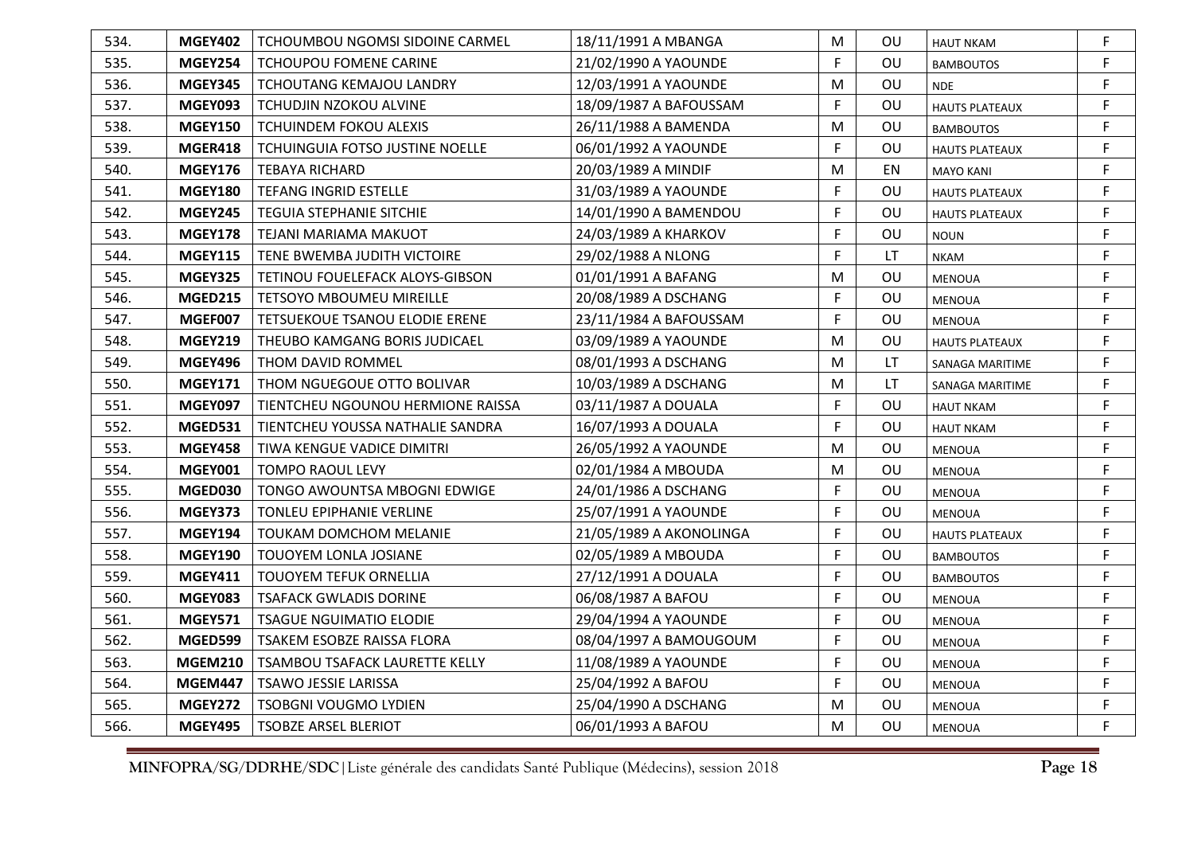| 534. | <b>MGEY402</b> | TCHOUMBOU NGOMSI SIDOINE CARMEL   | 18/11/1991 A MBANGA     | M | OU        | <b>HAUT NKAM</b>      | F           |
|------|----------------|-----------------------------------|-------------------------|---|-----------|-----------------------|-------------|
| 535. | <b>MGEY254</b> | <b>TCHOUPOU FOMENE CARINE</b>     | 21/02/1990 A YAOUNDE    | F | OU        | <b>BAMBOUTOS</b>      | F           |
| 536. | <b>MGEY345</b> | TCHOUTANG KEMAJOU LANDRY          | 12/03/1991 A YAOUNDE    | M | OU        | <b>NDE</b>            | F.          |
| 537. | MGEY093        | TCHUDJIN NZOKOU ALVINE            | 18/09/1987 A BAFOUSSAM  | F | OU        | <b>HAUTS PLATEAUX</b> | F           |
| 538. | <b>MGEY150</b> | TCHUINDEM FOKOU ALEXIS            | 26/11/1988 A BAMENDA    | M | OU.       | <b>BAMBOUTOS</b>      | F           |
| 539. | MGER418        | TCHUINGUIA FOTSO JUSTINE NOELLE   | 06/01/1992 A YAOUNDE    | F | OU        | <b>HAUTS PLATEAUX</b> | F           |
| 540. | <b>MGEY176</b> | <b>TEBAYA RICHARD</b>             | 20/03/1989 A MINDIF     | M | EN        | <b>MAYO KANI</b>      | F           |
| 541. | <b>MGEY180</b> | <b>TEFANG INGRID ESTELLE</b>      | 31/03/1989 A YAOUNDE    | F | OU        | <b>HAUTS PLATEAUX</b> | $\mathsf F$ |
| 542. | <b>MGEY245</b> | <b>TEGUIA STEPHANIE SITCHIE</b>   | 14/01/1990 A BAMENDOU   | F | OU        | <b>HAUTS PLATEAUX</b> | F           |
| 543. | <b>MGEY178</b> | TEJANI MARIAMA MAKUOT             | 24/03/1989 A KHARKOV    | F | OU        | <b>NOUN</b>           | $\mathsf F$ |
| 544. | <b>MGEY115</b> | TENE BWEMBA JUDITH VICTOIRE       | 29/02/1988 A NLONG      | F | <b>LT</b> | <b>NKAM</b>           | F           |
| 545. | <b>MGEY325</b> | TETINOU FOUELEFACK ALOYS-GIBSON   | 01/01/1991 A BAFANG     | M | OU        | <b>MENOUA</b>         | F           |
| 546. | <b>MGED215</b> | <b>TETSOYO MBOUMEU MIREILLE</b>   | 20/08/1989 A DSCHANG    | F | OU        | <b>MENOUA</b>         | F           |
| 547. | MGEF007        | TETSUEKOUE TSANOU ELODIE ERENE    | 23/11/1984 A BAFOUSSAM  | F | OU        | <b>MENOUA</b>         | F           |
| 548. | <b>MGEY219</b> | THEUBO KAMGANG BORIS JUDICAEL     | 03/09/1989 A YAOUNDE    | M | <b>OU</b> | <b>HAUTS PLATEAUX</b> | F           |
| 549. | <b>MGEY496</b> | THOM DAVID ROMMEL                 | 08/01/1993 A DSCHANG    | M | <b>LT</b> | SANAGA MARITIME       | F           |
| 550. | <b>MGEY171</b> | THOM NGUEGOUE OTTO BOLIVAR        | 10/03/1989 A DSCHANG    | M | LT        | SANAGA MARITIME       | F           |
| 551. | <b>MGEY097</b> | TIENTCHEU NGOUNOU HERMIONE RAISSA | 03/11/1987 A DOUALA     | F | OU        | <b>HAUT NKAM</b>      | F           |
| 552. | <b>MGED531</b> | TIENTCHEU YOUSSA NATHALIE SANDRA  | 16/07/1993 A DOUALA     | F | OU        | <b>HAUT NKAM</b>      | F           |
| 553. | <b>MGEY458</b> | TIWA KENGUE VADICE DIMITRI        | 26/05/1992 A YAOUNDE    | M | OU        | <b>MENOUA</b>         | F           |
| 554. | <b>MGEY001</b> | <b>TOMPO RAOUL LEVY</b>           | 02/01/1984 A MBOUDA     | M | OU        | <b>MENOUA</b>         | F           |
| 555. | MGED030        | TONGO AWOUNTSA MBOGNI EDWIGE      | 24/01/1986 A DSCHANG    | F | OU        | <b>MENOUA</b>         | $\mathsf F$ |
| 556. | MGEY373        | <b>TONLEU EPIPHANIE VERLINE</b>   | 25/07/1991 A YAOUNDE    | F | OU        | <b>MENOUA</b>         | F           |
| 557. | <b>MGEY194</b> | TOUKAM DOMCHOM MELANIE            | 21/05/1989 A AKONOLINGA | F | OU        | <b>HAUTS PLATEAUX</b> | F           |
| 558. | <b>MGEY190</b> | TOUOYEM LONLA JOSIANE             | 02/05/1989 A MBOUDA     | F | OU        | <b>BAMBOUTOS</b>      | F           |
| 559. | <b>MGEY411</b> | <b>TOUOYEM TEFUK ORNELLIA</b>     | 27/12/1991 A DOUALA     | F | OU        | <b>BAMBOUTOS</b>      | F           |
| 560. | <b>MGEY083</b> | <b>TSAFACK GWLADIS DORINE</b>     | 06/08/1987 A BAFOU      | F | OU        | MENOUA                | F           |
| 561. | <b>MGEY571</b> | <b>TSAGUE NGUIMATIO ELODIE</b>    | 29/04/1994 A YAOUNDE    | F | OU        | <b>MENOUA</b>         | $\mathsf F$ |
| 562. | MGED599        | TSAKEM ESOBZE RAISSA FLORA        | 08/04/1997 A BAMOUGOUM  | F | OU        | <b>MENOUA</b>         | F           |
| 563. | <b>MGEM210</b> | TSAMBOU TSAFACK LAURETTE KELLY    | 11/08/1989 A YAOUNDE    | F | OU        | <b>MENOUA</b>         | F           |
| 564. | MGEM447        | <b>TSAWO JESSIE LARISSA</b>       | 25/04/1992 A BAFOU      | F | OU        | <b>MENOUA</b>         | F           |
| 565. | <b>MGEY272</b> | <b>TSOBGNI VOUGMO LYDIEN</b>      | 25/04/1990 A DSCHANG    | M | OU        | <b>MENOUA</b>         | $\mathsf F$ |
| 566. | MGEY495        | <b>TSOBZE ARSEL BLERIOT</b>       | 06/01/1993 A BAFOU      | M | OU        | <b>MENOUA</b>         | F           |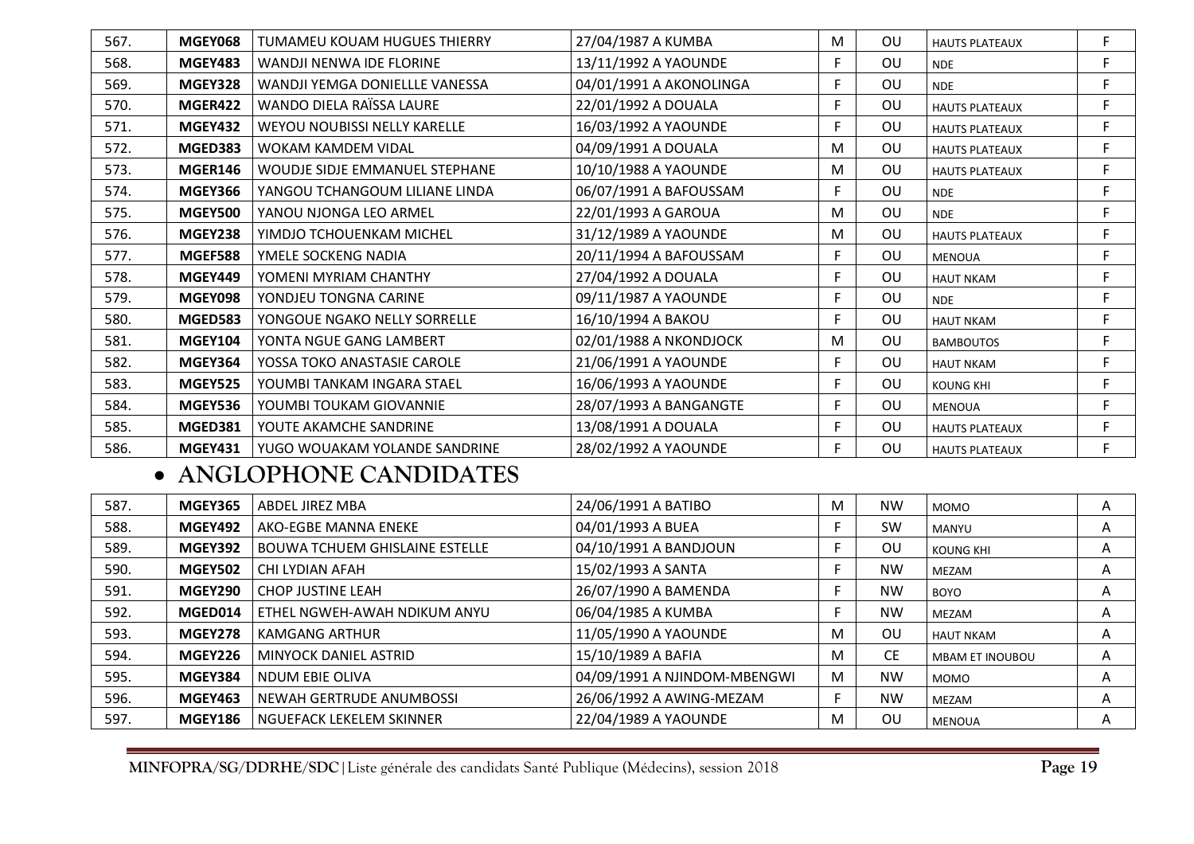| 567. | <b>MGEY068</b> | TUMAMEU KOUAM HUGUES THIERRY   | 27/04/1987 A KUMBA      | M  | <b>OU</b> | <b>HAUTS PLATEAUX</b> | F |
|------|----------------|--------------------------------|-------------------------|----|-----------|-----------------------|---|
| 568. | <b>MGEY483</b> | WANDJI NENWA IDE FLORINE       | 13/11/1992 A YAOUNDE    | F  | OU        | <b>NDE</b>            | F |
| 569. | <b>MGEY328</b> | WANDJI YEMGA DONIELLLE VANESSA | 04/01/1991 A AKONOLINGA | F  | OU        | <b>NDE</b>            | F |
| 570. | MGER422        | WANDO DIELA RAÏSSA LAURE       | 22/01/1992 A DOUALA     | F  | OU        | <b>HAUTS PLATEAUX</b> | F |
| 571. | <b>MGEY432</b> | WEYOU NOUBISSI NELLY KARELLE   | 16/03/1992 A YAOUNDE    | F  | <b>OU</b> | <b>HAUTS PLATEAUX</b> | F |
| 572. | MGED383        | <b>WOKAM KAMDEM VIDAL</b>      | 04/09/1991 A DOUALA     | M  | OU.       | <b>HAUTS PLATEAUX</b> | F |
| 573. | MGER146        | WOUDJE SIDJE EMMANUEL STEPHANE | 10/10/1988 A YAOUNDE    | M  | OU        | <b>HAUTS PLATEAUX</b> | F |
| 574. | <b>MGEY366</b> | YANGOU TCHANGOUM LILIANE LINDA | 06/07/1991 A BAFOUSSAM  | F. | OU        | <b>NDE</b>            | F |
| 575. | <b>MGEY500</b> | YANOU NJONGA LEO ARMEL         | 22/01/1993 A GAROUA     | M  | OU        | <b>NDE</b>            | F |
| 576. | <b>MGEY238</b> | YIMDJO TCHOUENKAM MICHEL       | 31/12/1989 A YAOUNDE    | M  | OU        | <b>HAUTS PLATEAUX</b> | F |
| 577. | <b>MGEF588</b> | YMELE SOCKENG NADIA            | 20/11/1994 A BAFOUSSAM  | F  | OU        | <b>MENOUA</b>         | F |
| 578. | <b>MGEY449</b> | YOMENI MYRIAM CHANTHY          | 27/04/1992 A DOUALA     | F  | OU.       | <b>HAUT NKAM</b>      | F |
| 579. | <b>MGEY098</b> | YONDJEU TONGNA CARINE          | 09/11/1987 A YAOUNDE    | F  | <b>OU</b> | <b>NDE</b>            | F |
| 580. | <b>MGED583</b> | YONGOUE NGAKO NELLY SORRELLE   | 16/10/1994 A BAKOU      | F  | OU        | <b>HAUT NKAM</b>      | F |
| 581. | <b>MGEY104</b> | YONTA NGUE GANG LAMBERT        | 02/01/1988 A NKONDJOCK  | M  | OU        | <b>BAMBOUTOS</b>      | F |
| 582. | <b>MGEY364</b> | YOSSA TOKO ANASTASIE CAROLE    | 21/06/1991 A YAOUNDE    | F  | <b>OU</b> | <b>HAUT NKAM</b>      | F |
| 583. | <b>MGEY525</b> | YOUMBI TANKAM INGARA STAEL     | 16/06/1993 A YAOUNDE    | F  | OU        | <b>KOUNG KHI</b>      | F |
| 584. | <b>MGEY536</b> | YOUMBI TOUKAM GIOVANNIE        | 28/07/1993 A BANGANGTE  | F  | <b>OU</b> | <b>MENOUA</b>         | F |
| 585. | <b>MGED381</b> | YOUTE AKAMCHE SANDRINE         | 13/08/1991 A DOUALA     | F  | OU        | <b>HAUTS PLATEAUX</b> | F |
| 586. | <b>MGEY431</b> | YUGO WOUAKAM YOLANDE SANDRINE  | 28/02/1992 A YAOUNDE    | F  | OU.       | <b>HAUTS PLATEAUX</b> | F |

### • **ANGLOPHONE CANDIDATES**

| 587. | <b>MGEY365</b> | <b>ABDEL JIREZ MBA</b>                | 24/06/1991 A BATIBO          | м | <b>NW</b> | <b>MOMO</b>            | A |
|------|----------------|---------------------------------------|------------------------------|---|-----------|------------------------|---|
| 588. | MGEY492        | AKO-EGBE MANNA ENEKE                  | 04/01/1993 A BUEA            |   | <b>SW</b> | MANYU                  | A |
| 589. | MGEY392        | <b>BOUWA TCHUEM GHISLAINE ESTELLE</b> | 04/10/1991 A BANDJOUN        |   | OU        | KOUNG KHI              | A |
| 590. | <b>MGEY502</b> | CHI LYDIAN AFAH                       | 15/02/1993 A SANTA           |   | <b>NW</b> | <b>MEZAM</b>           | A |
| 591. | MGEY290        | CHOP JUSTINE LEAH                     | 26/07/1990 A BAMENDA         |   | <b>NW</b> | <b>BOYO</b>            | A |
| 592. | MGED014        | ETHEL NGWEH-AWAH NDIKUM ANYU          | 06/04/1985 A KUMBA           |   | <b>NW</b> | <b>MEZAM</b>           | A |
| 593. | <b>MGEY278</b> | <b>KAMGANG ARTHUR</b>                 | 11/05/1990 A YAOUNDE         | м | OU        | <b>HAUT NKAM</b>       | A |
| 594. | MGEY226        | MINYOCK DANIEL ASTRID                 | 15/10/1989 A BAFIA           | M | <b>CE</b> | <b>MBAM ET INOUBOU</b> | A |
| 595. | MGEY384        | NDUM EBIE OLIVA                       | 04/09/1991 A NJINDOM-MBENGWI | M | <b>NW</b> | <b>MOMO</b>            | A |
| 596. | <b>MGEY463</b> | NEWAH GERTRUDE ANUMBOSSI              | 26/06/1992 A AWING-MEZAM     |   | <b>NW</b> | <b>MEZAM</b>           | A |
| 597. | <b>MGEY186</b> | NGUEFACK LEKELEM SKINNER              | 22/04/1989 A YAOUNDE         | м | ΟU        | <b>MENOUA</b>          | A |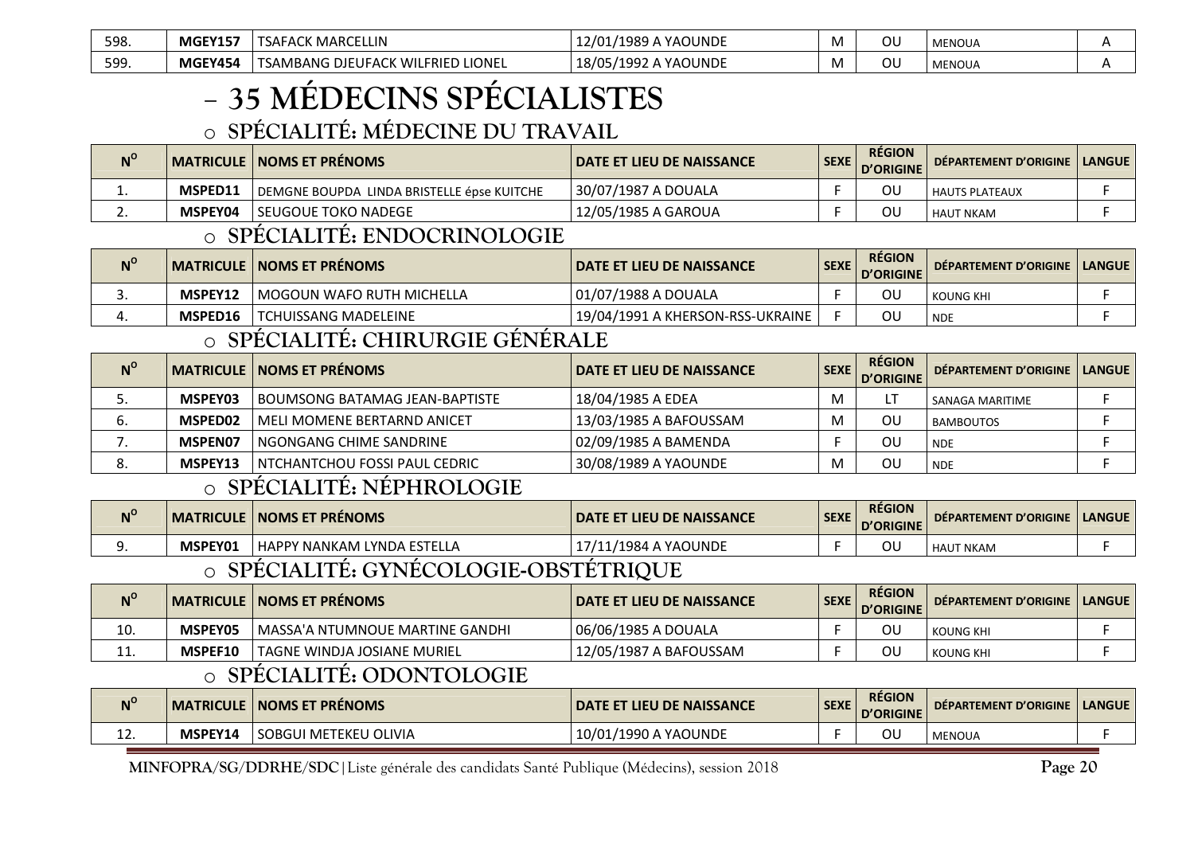| 598. | MGEY15.        | TSAFACK MARCELLIN                 | YAOUNDE<br>1020 A<br>۰ ۰۰ <i>د ۱۵ ت</i> ه ب | IV) | JU | MENOUA |  |
|------|----------------|-----------------------------------|---------------------------------------------|-----|----|--------|--|
| 599. | <b>MGEY454</b> | TSAMBANG DJEUFACK WILFRIED LIONEL | 18/05/1992<br><b>2 A YAOUNDE</b>            | 1V) | ΟL | MENOUA |  |

#### -**35 MÉDECINS SPÉCIALISTES**

### o **SPÉCIALITÉ: MÉDECINE DU TRAVAIL**

| $N^{\rm o}$ |         | <b>MATRICULE   NOMS ET PRÉNOMS</b>         | <b>I DATE ET LIEU DE NAISSANCE</b> | SEXE. | <b>RÉGION</b><br><b>D'ORIGINE</b> | DÉPARTEMENT D'ORIGINE   LANGUE |  |
|-------------|---------|--------------------------------------------|------------------------------------|-------|-----------------------------------|--------------------------------|--|
| --          | MSPED11 | DEMGNE BOUPDA LINDA BRISTELLE épse KUITCHE | 30/07/1987 A DOUALA                |       | ΟU                                | HAUTS PLATEAUX                 |  |
| . .         | MSPEY04 | l SEUGOUE TOKO NADEGE                      | 12/05/1985 A GAROUA                |       | ΟL                                | l HAUT NKAM                    |  |

### o **SPÉCIALITÉ: ENDOCRINOLOGIE**

| $N^{\rm o}$ |                | MATRICULE   NOMS ET PRÉNOMS | I DATE ET LIEU DE NAISSANCE      | <b>SEXE</b> | <b>RÉGION</b><br>l D'ORIGINE | DÉPARTEMENT D'ORIGINE | <b>LANGUE</b> |
|-------------|----------------|-----------------------------|----------------------------------|-------------|------------------------------|-----------------------|---------------|
| <u>.</u>    | <b>MSPEY12</b> | l MOGOUN WAFO RUTH MICHELLA | 01/07/1988 A DOUALA              |             | OU                           | KOUNG KHI             |               |
|             | MSPED16        | <b>TCHUISSANG MADELEINE</b> | 19/04/1991 A KHERSON-RSS-UKRAINE |             | ΟL                           | <b>NDE</b>            |               |

### o **SPÉCIALITÉ: CHIRURGIE GÉNÉRALE**

| $N^{\rm o}$ |         | <b>MATRICULE NOMS ET PRÉNOMS</b> | l DATE ET LIEU DE NAISSANCE | <b>SEXE</b> | <b>RÉGION</b><br><b>D'ORIGINE</b> | DÉPARTEMENT D'ORIGINE   LANGUE |  |
|-------------|---------|----------------------------------|-----------------------------|-------------|-----------------------------------|--------------------------------|--|
| J.          | MSPEY03 | BOUMSONG BATAMAG JEAN-BAPTISTE   | 18/04/1985 A EDEA           |             |                                   | I SANAGA MARITIME              |  |
| ხ.          | MSPED02 | MELI MOMENE BERTARND ANICET      | 13/03/1985 A BAFOUSSAM      |             | ΟU                                | <b>BAMBOUTOS</b>               |  |
| . .         | MSPEN07 | NGONGANG CHIME SANDRINE          | 02/09/1985 A BAMENDA        |             | ΟL                                | <b>NDE</b>                     |  |
| ٥.          | MSPEY13 | NTCHANTCHOU FOSSI PAUL CEDRIC    | 30/08/1989 A YAOUNDE        |             | ΟL                                | <b>NDE</b>                     |  |

### o **SPÉCIALITÉ: NÉPHROLOGIE**

| $N^{\circ}$ |         | <b>MATRICULE   NOMS ET PRÉNOMS</b> | <b>DATE ET LIEU DE NAISSANCE</b> | <b>SEXE</b> | <b>RÉGION</b><br><b>D'ORIGINE</b> | <b>DEPARTEMENT D'ORIGINE   LANGUE  </b> |  |
|-------------|---------|------------------------------------|----------------------------------|-------------|-----------------------------------|-----------------------------------------|--|
| <u>.</u>    | MSPEY01 | ' HAPPY NANKAM LYNDA ESTELLA       | /1984 A YAOUNDE                  |             | ΟU                                | " NKAM<br>' HAL                         |  |
|             |         |                                    |                                  |             |                                   |                                         |  |

### o **SPÉCIALITÉ: GYNÉCOLOGIE-OBSTÉTRIQUE**

| $N^{\circ}$ |         | <b>I MATRICULE   NOMS ET PRÉNOMS  </b> | <b>I DATE ET LIEU DE NAISSANCE</b> | <b>SEXE</b> | <b>RÉGION</b><br><b>D'ORIGINE</b> | DÉPARTEMENT D'ORIGINE   LANGUE |  |
|-------------|---------|----------------------------------------|------------------------------------|-------------|-----------------------------------|--------------------------------|--|
| 10.         | MSPEY05 | MASSA'A NTUMNOUE MARTINE GANDHI        | 06/06/1985 A DOUALA                |             | วบ                                | KOUNG KHI                      |  |
| <b>++</b>   | MSPEF10 | TAGNE WINDJA JOSIANE MURIEL            | 12/05/1987 A BAFOUSSAM             |             | วน                                | KOUNG KHI                      |  |
|             |         |                                        |                                    |             |                                   |                                |  |

### o **SPÉCIALITÉ: ODONTOLOGIE**

| $N^{\circ}$ | <b>MATRICULE</b> | <b>NOMS ET PRÉNOMS</b> | <b>DATE ET LIEU DE NAISSANCE</b> | <b>SEXE</b> | <b>RÉGION</b><br><b>D'ORIGINE</b> | DÉPARTEMENT D'ORIGINE | <b>LANGUE</b> |
|-------------|------------------|------------------------|----------------------------------|-------------|-----------------------------------|-----------------------|---------------|
| .           | MSPEY14          | SOBGUI METEKEU OLIVIA  | 10/01/1990 A YAOUNDE             |             | ΟL                                | <b>MENOUA</b>         |               |
|             |                  |                        |                                  |             |                                   |                       |               |